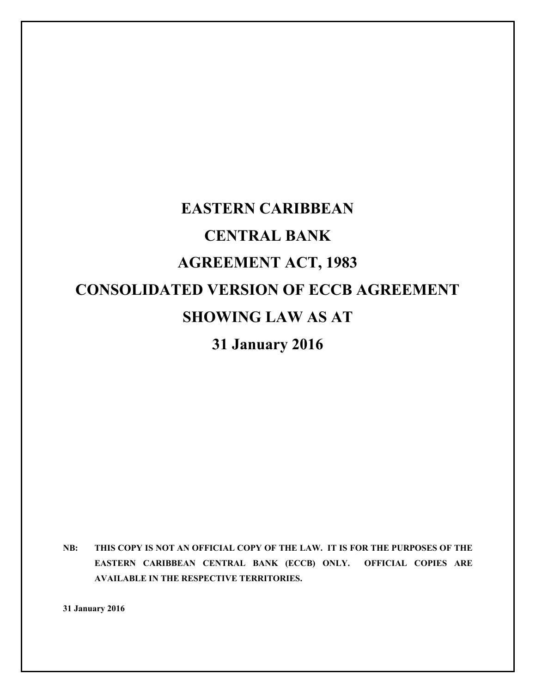# **EASTERN CARIBBEAN CENTRAL BANK AGREEMENT ACT, 1983 CONSOLIDATED VERSION OF ECCB AGREEMENT SHOWING LAW AS AT 31 January 2016**

**NB: THIS COPY IS NOT AN OFFICIAL COPY OF THE LAW. IT IS FOR THE PURPOSES OF THE EASTERN CARIBBEAN CENTRAL BANK (ECCB) ONLY. OFFICIAL COPIES ARE AVAILABLE IN THE RESPECTIVE TERRITORIES.** 

**31 January 2016**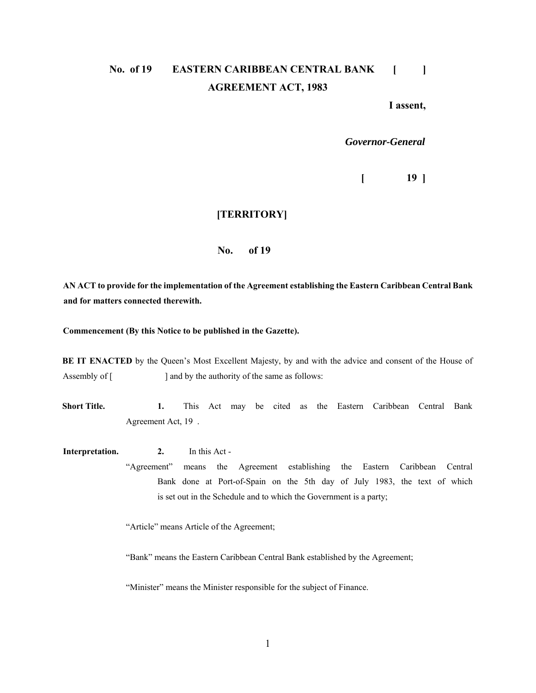# No. of 19 EASTERN CARIBBEAN CENTRAL BANK [ ] **AGREEMENT ACT, 1983**

**I assent,** 

*Governor-General* 

 $[$  19  $]$ 

#### **[TERRITORY]**

#### **No. of 19**

**AN ACT to provide for the implementation of the Agreement establishing the Eastern Caribbean Central Bank and for matters connected therewith.** 

**Commencement (By this Notice to be published in the Gazette).** 

**BE IT ENACTED** by the Queen's Most Excellent Majesty, by and with the advice and consent of the House of Assembly of [ ] and by the authority of the same as follows:

**Short Title. 1.** This Act may be cited as the Eastern Caribbean Central Bank Agreement Act, 19 .

**Interpretation.** 2. In this Act - "Agreement" means the Agreement establishing the Eastern Caribbean Central Bank done at Port-of-Spain on the 5th day of July 1983, the text of which is set out in the Schedule and to which the Government is a party;

"Article" means Article of the Agreement;

"Bank" means the Eastern Caribbean Central Bank established by the Agreement;

"Minister" means the Minister responsible for the subject of Finance.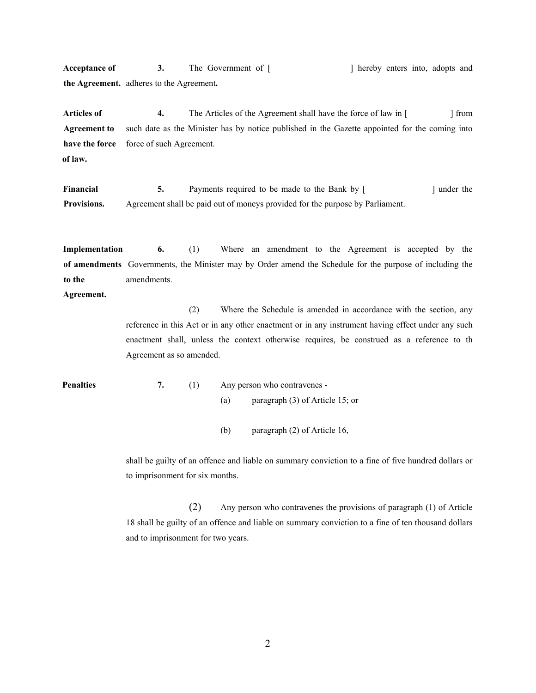**Acceptance of 3.** The Government of [ ] hereby enters into, adopts and **the Agreement.** adheres to the Agreement**.**

Articles of 4. The Articles of the Agreement shall have the force of law in [ ] from **Agreement to** such date as the Minister has by notice published in the Gazette appointed for the coming into have the force force of such Agreement. **of law.** 

**Financial 5.** Payments required to be made to the Bank by [ ] under the **Provisions.** Agreement shall be paid out of moneys provided for the purpose by Parliament.

**Implementation** 6. (1) Where an amendment to the Agreement is accepted by the **of amendments** Governments, the Minister may by Order amend the Schedule for the purpose of including the **to the** amendments.

#### **Agreement.**

 (2) Where the Schedule is amended in accordance with the section, any reference in this Act or in any other enactment or in any instrument having effect under any such enactment shall, unless the context otherwise requires, be construed as a reference to th Agreement as so amended.

**Penalties** 7. (1) Any person who contravenes -(a) paragraph (3) of Article 15; or

(b) paragraph (2) of Article 16,

 shall be guilty of an offence and liable on summary conviction to a fine of five hundred dollars or to imprisonment for six months.

(2) Any person who contravenes the provisions of paragraph (1) of Article 18 shall be guilty of an offence and liable on summary conviction to a fine of ten thousand dollars and to imprisonment for two years.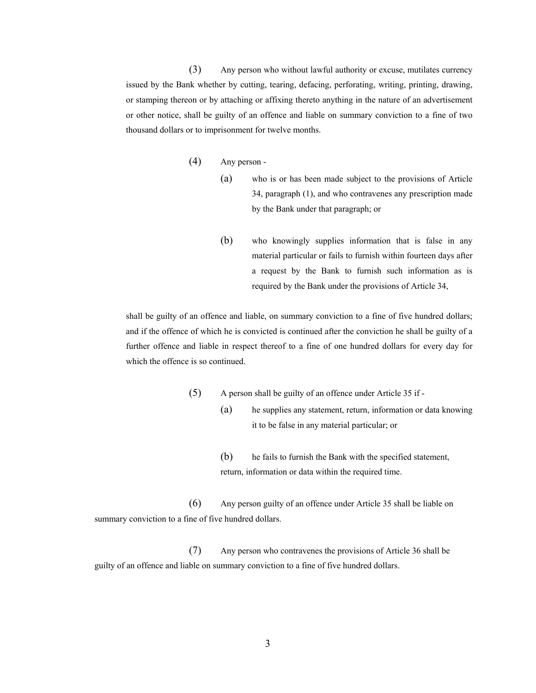(3) Any person who without lawful authority or excuse, mutilates currency issued by the Bank whether by cutting, tearing, defacing, perforating, writing, printing, drawing, or stamping thereon or by attaching or affixing thereto anything in the nature of an advertisement or other notice, shall be guilty of an offence and liable on summary conviction to a fine of two thousand dollars or to imprisonment for twelve months.

- (4) Any person
	- (a) who is or has been made subject to the provisions of Article 34, paragraph (1), and who contravenes any prescription made by the Bank under that paragraph; or
	- (b) who knowingly supplies information that is false in any material particular or fails to furnish within fourteen days after a request by the Bank to furnish such information as is required by the Bank under the provisions of Article 34,

 shall be guilty of an offence and liable, on summary conviction to a fine of five hundred dollars; and if the offence of which he is convicted is continued after the conviction he shall be guilty of a further offence and liable in respect thereof to a fine of one hundred dollars for every day for which the offence is so continued.

- (5) A person shall be guilty of an offence under Article 35 if
	- (a) he supplies any statement, return, information or data knowing it to be false in any material particular; or
		- (b) he fails to furnish the Bank with the specified statement, return, information or data within the required time.

(6) Any person guilty of an offence under Article 35 shall be liable on summary conviction to a fine of five hundred dollars.

(7) Any person who contravenes the provisions of Article 36 shall be guilty of an offence and liable on summary conviction to a fine of five hundred dollars.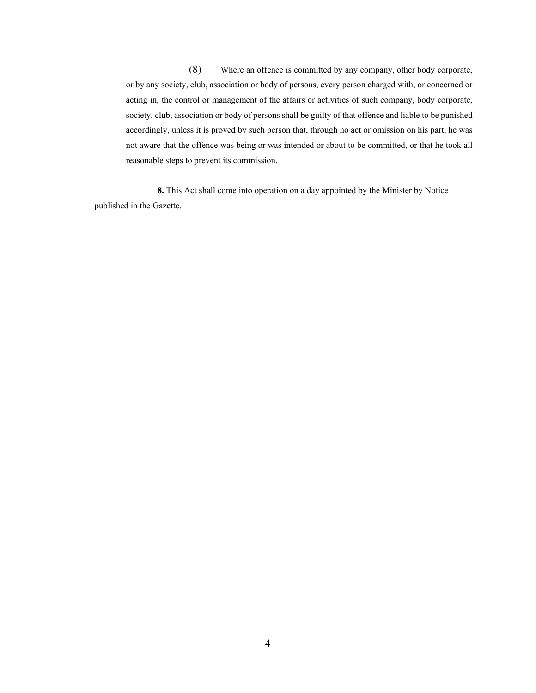(8) Where an offence is committed by any company, other body corporate, or by any society, club, association or body of persons, every person charged with, or concerned or acting in, the control or management of the affairs or activities of such company, body corporate, society, club, association or body of persons shall be guilty of that offence and liable to be punished accordingly, unless it is proved by such person that, through no act or omission on his part, he was not aware that the offence was being or was intended or about to be committed, or that he took all reasonable steps to prevent its commission.

 **8.** This Act shall come into operation on a day appointed by the Minister by Notice published in the Gazette.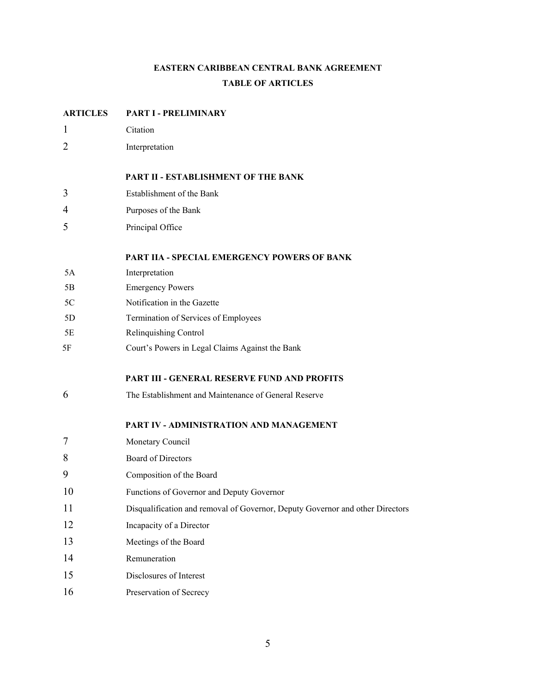# **EASTERN CARIBBEAN CENTRAL BANK AGREEMENT TABLE OF ARTICLES**

# **ARTICLES PART I - PRELIMINARY**  1 Citation 2 Interpretation **PART II - ESTABLISHMENT OF THE BANK**  3 Establishment of the Bank 4 Purposes of the Bank 5 Principal Office **PART IIA - SPECIAL EMERGENCY POWERS OF BANK**  5A Interpretation 5B Emergency Powers 5C Notification in the Gazette 5D Termination of Services of Employees 5E Relinquishing Control 5F Court's Powers in Legal Claims Against the Bank **PART III - GENERAL RESERVE FUND AND PROFITS**  6 The Establishment and Maintenance of General Reserve **PART IV - ADMINISTRATION AND MANAGEMENT**  7 Monetary Council 8 Board of Directors 9 Composition of the Board 10 Functions of Governor and Deputy Governor 11 Disqualification and removal of Governor, Deputy Governor and other Directors 12 Incapacity of a Director 13 Meetings of the Board 14 Remuneration 15 Disclosures of Interest 16 Preservation of Secrecy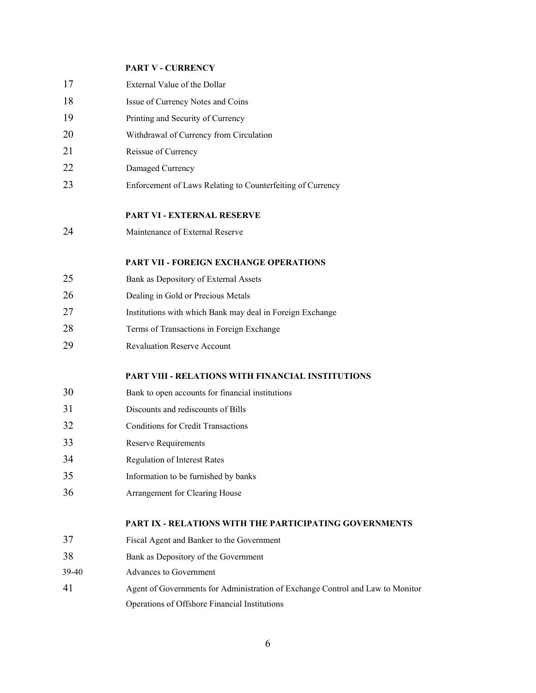#### **PART V - CURRENCY**

| 17    | External Value of the Dollar                                                   |
|-------|--------------------------------------------------------------------------------|
| 18    | Issue of Currency Notes and Coins                                              |
| 19    | Printing and Security of Currency                                              |
| 20    | Withdrawal of Currency from Circulation                                        |
| 21    | Reissue of Currency                                                            |
| 22    | Damaged Currency                                                               |
| 23    | Enforcement of Laws Relating to Counterfeiting of Currency                     |
|       | <b>PART VI - EXTERNAL RESERVE</b>                                              |
| 24    | Maintenance of External Reserve                                                |
|       | <b>PART VII - FOREIGN EXCHANGE OPERATIONS</b>                                  |
| 25    | Bank as Depository of External Assets                                          |
| 26    | Dealing in Gold or Precious Metals                                             |
| 27    | Institutions with which Bank may deal in Foreign Exchange                      |
| 28    | Terms of Transactions in Foreign Exchange                                      |
| 29    | <b>Revaluation Reserve Account</b>                                             |
|       | PART VIII - RELATIONS WITH FINANCIAL INSTITUTIONS                              |
| 30    | Bank to open accounts for financial institutions                               |
| 31    | Discounts and rediscounts of Bills                                             |
| 32    | <b>Conditions for Credit Transactions</b>                                      |
| 33    | Reserve Requirements                                                           |
| 34    | <b>Regulation of Interest Rates</b>                                            |
| 35    | Information to be furnished by banks                                           |
| 36    | Arrangement for Clearing House                                                 |
|       | <b>PART IX - RELATIONS WITH THE PARTICIPATING GOVERNMENTS</b>                  |
| 37    | Fiscal Agent and Banker to the Government                                      |
| 38    | Bank as Depository of the Government                                           |
| 39-40 | Advances to Government                                                         |
| 41    | Agent of Governments for Administration of Exchange Control and Law to Monitor |
|       | Operations of Offshore Financial Institutions                                  |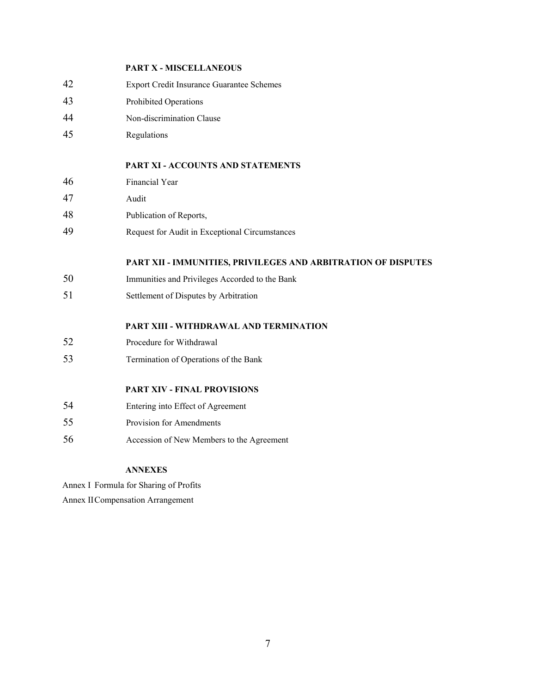|    | <b>PART X - MISCELLANEOUS</b>                                 |
|----|---------------------------------------------------------------|
| 42 | Export Credit Insurance Guarantee Schemes                     |
| 43 | Prohibited Operations                                         |
| 44 | Non-discrimination Clause                                     |
| 45 | Regulations                                                   |
|    | PART XI - ACCOUNTS AND STATEMENTS                             |
| 46 | Financial Year                                                |
| 47 | Audit                                                         |
| 48 | Publication of Reports,                                       |
| 49 | Request for Audit in Exceptional Circumstances                |
|    |                                                               |
|    | PART XII - IMMUNITIES, PRIVILEGES AND ARBITRATION OF DISPUTES |
| 50 | Immunities and Privileges Accorded to the Bank                |
| 51 | Settlement of Disputes by Arbitration                         |
|    | PART XIII - WITHDRAWAL AND TERMINATION                        |
| 52 | Procedure for Withdrawal                                      |
| 53 | Termination of Operations of the Bank                         |
|    | <b>PART XIV - FINAL PROVISIONS</b>                            |
| 54 | Entering into Effect of Agreement                             |
| 55 | Provision for Amendments                                      |

#### **ANNEXES**

Annex I Formula for Sharing of Profits

Annex II Compensation Arrangement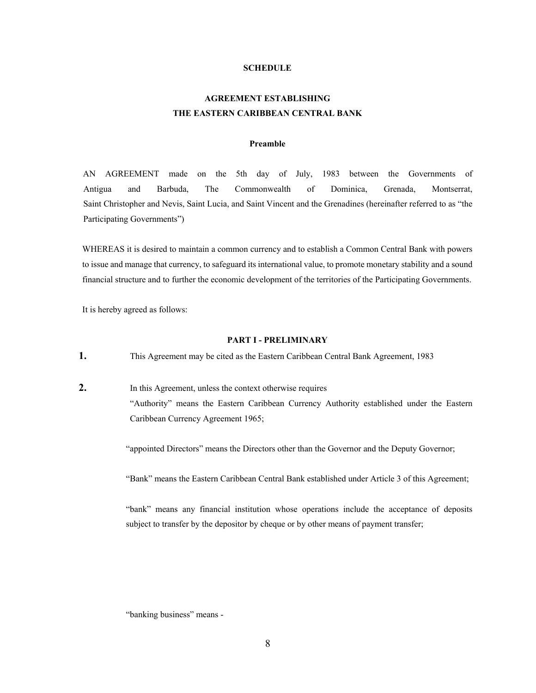#### **SCHEDULE**

### **AGREEMENT ESTABLISHING THE EASTERN CARIBBEAN CENTRAL BANK**

#### **Preamble**

AN AGREEMENT made on the 5th day of July, 1983 between the Governments of Antigua and Barbuda, The Commonwealth of Dominica, Grenada, Montserrat, Saint Christopher and Nevis, Saint Lucia, and Saint Vincent and the Grenadines (hereinafter referred to as "the Participating Governments")

WHEREAS it is desired to maintain a common currency and to establish a Common Central Bank with powers to issue and manage that currency, to safeguard its international value, to promote monetary stability and a sound financial structure and to further the economic development of the territories of the Participating Governments.

It is hereby agreed as follows:

#### **PART I - PRELIMINARY**

**1.** This Agreement may be cited as the Eastern Caribbean Central Bank Agreement, 1983

**2.** In this Agreement, unless the context otherwise requires "Authority" means the Eastern Caribbean Currency Authority established under the Eastern Caribbean Currency Agreement 1965;

"appointed Directors" means the Directors other than the Governor and the Deputy Governor;

"Bank" means the Eastern Caribbean Central Bank established under Article 3 of this Agreement;

 "bank" means any financial institution whose operations include the acceptance of deposits subject to transfer by the depositor by cheque or by other means of payment transfer;

"banking business" means -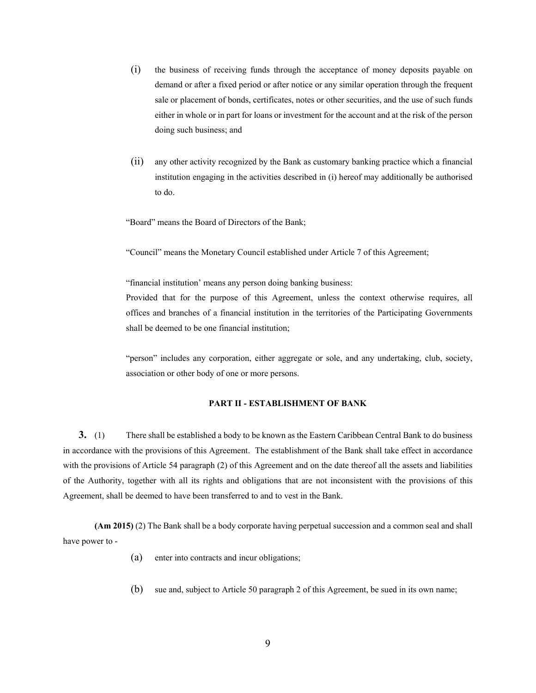- (i) the business of receiving funds through the acceptance of money deposits payable on demand or after a fixed period or after notice or any similar operation through the frequent sale or placement of bonds, certificates, notes or other securities, and the use of such funds either in whole or in part for loans or investment for the account and at the risk of the person doing such business; and
- (ii) any other activity recognized by the Bank as customary banking practice which a financial institution engaging in the activities described in (i) hereof may additionally be authorised to do.
- "Board" means the Board of Directors of the Bank;

"Council" means the Monetary Council established under Article 7 of this Agreement;

"financial institution' means any person doing banking business:

 Provided that for the purpose of this Agreement, unless the context otherwise requires, all offices and branches of a financial institution in the territories of the Participating Governments shall be deemed to be one financial institution;

 "person" includes any corporation, either aggregate or sole, and any undertaking, club, society, association or other body of one or more persons.

#### **PART II - ESTABLISHMENT OF BANK**

**3.** (1) There shall be established a body to be known as the Eastern Caribbean Central Bank to do business in accordance with the provisions of this Agreement. The establishment of the Bank shall take effect in accordance with the provisions of Article 54 paragraph (2) of this Agreement and on the date thereof all the assets and liabilities of the Authority, together with all its rights and obligations that are not inconsistent with the provisions of this Agreement, shall be deemed to have been transferred to and to vest in the Bank.

**(Am 2015)** (2) The Bank shall be a body corporate having perpetual succession and a common seal and shall have power to -

- (a) enter into contracts and incur obligations;
- (b) sue and, subject to Article 50 paragraph 2 of this Agreement, be sued in its own name;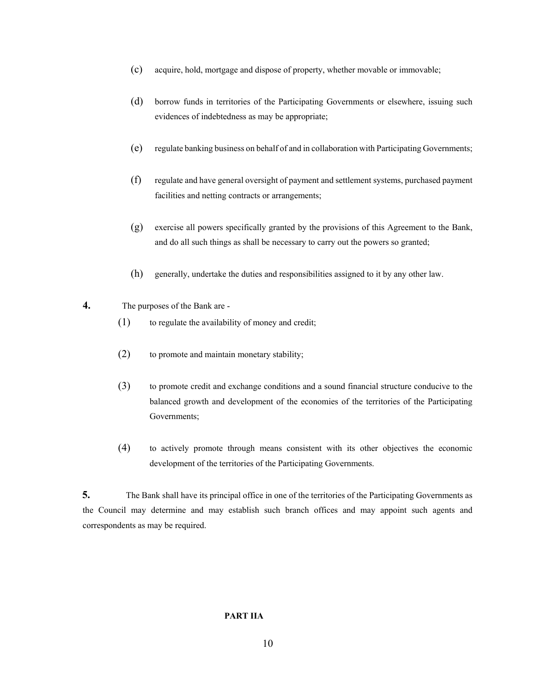- (c) acquire, hold, mortgage and dispose of property, whether movable or immovable;
- (d) borrow funds in territories of the Participating Governments or elsewhere, issuing such evidences of indebtedness as may be appropriate;
- (e) regulate banking business on behalf of and in collaboration with Participating Governments;
- (f) regulate and have general oversight of payment and settlement systems, purchased payment facilities and netting contracts or arrangements;
- (g) exercise all powers specifically granted by the provisions of this Agreement to the Bank, and do all such things as shall be necessary to carry out the powers so granted;
- (h) generally, undertake the duties and responsibilities assigned to it by any other law.
- **4.** The purposes of the Bank are
	- (1) to regulate the availability of money and credit;
	- (2) to promote and maintain monetary stability;
	- (3) to promote credit and exchange conditions and a sound financial structure conducive to the balanced growth and development of the economies of the territories of the Participating Governments;
	- (4) to actively promote through means consistent with its other objectives the economic development of the territories of the Participating Governments.

**5.** The Bank shall have its principal office in one of the territories of the Participating Governments as the Council may determine and may establish such branch offices and may appoint such agents and correspondents as may be required.

#### **PART IIA**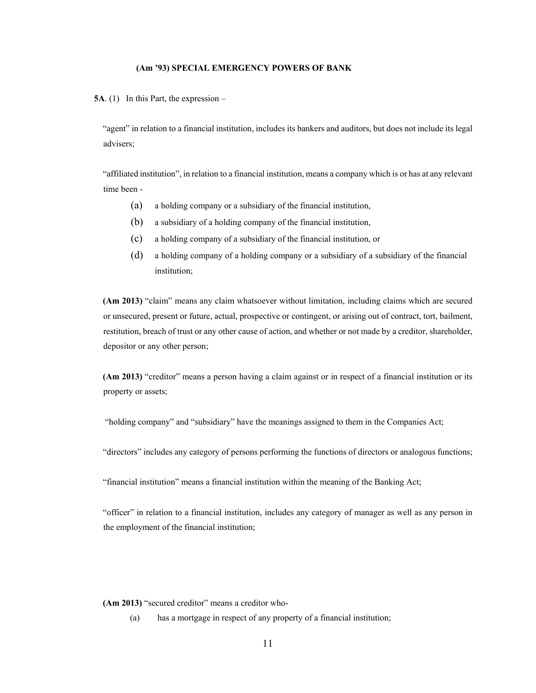#### **(Am '93) SPECIAL EMERGENCY POWERS OF BANK**

**5A**. (1) In this Part, the expression –

"agent" in relation to a financial institution, includes its bankers and auditors, but does not include its legal advisers;

"affiliated institution", in relation to a financial institution, means a company which is or has at any relevant time been -

- (a) a holding company or a subsidiary of the financial institution,
- (b) a subsidiary of a holding company of the financial institution,
- (c) a holding company of a subsidiary of the financial institution, or
- (d) a holding company of a holding company or a subsidiary of a subsidiary of the financial institution;

**(Am 2013)** "claim" means any claim whatsoever without limitation, including claims which are secured or unsecured, present or future, actual, prospective or contingent, or arising out of contract, tort, bailment, restitution, breach of trust or any other cause of action, and whether or not made by a creditor, shareholder, depositor or any other person;

**(Am 2013)** "creditor" means a person having a claim against or in respect of a financial institution or its property or assets;

"holding company" and "subsidiary" have the meanings assigned to them in the Companies Act;

"directors" includes any category of persons performing the functions of directors or analogous functions;

"financial institution" means a financial institution within the meaning of the Banking Act;

"officer" in relation to a financial institution, includes any category of manager as well as any person in the employment of the financial institution;

**(Am 2013)** "secured creditor" means a creditor who-

(a) has a mortgage in respect of any property of a financial institution;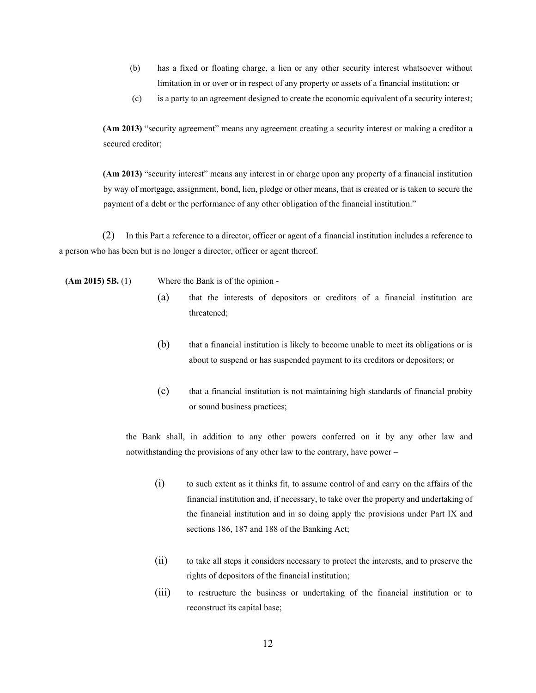- (b) has a fixed or floating charge, a lien or any other security interest whatsoever without limitation in or over or in respect of any property or assets of a financial institution; or
- (c) is a party to an agreement designed to create the economic equivalent of a security interest;

**(Am 2013)** "security agreement" means any agreement creating a security interest or making a creditor a secured creditor;

**(Am 2013)** "security interest" means any interest in or charge upon any property of a financial institution by way of mortgage, assignment, bond, lien, pledge or other means, that is created or is taken to secure the payment of a debt or the performance of any other obligation of the financial institution."

(2) In this Part a reference to a director, officer or agent of a financial institution includes a reference to a person who has been but is no longer a director, officer or agent thereof.

 **(Am 2015) 5B.** (1) Where the Bank is of the opinion -

- (a) that the interests of depositors or creditors of a financial institution are threatened;
- (b) that a financial institution is likely to become unable to meet its obligations or is about to suspend or has suspended payment to its creditors or depositors; or
- (c) that a financial institution is not maintaining high standards of financial probity or sound business practices;

 the Bank shall, in addition to any other powers conferred on it by any other law and notwithstanding the provisions of any other law to the contrary, have power –

- (i) to such extent as it thinks fit, to assume control of and carry on the affairs of the financial institution and, if necessary, to take over the property and undertaking of the financial institution and in so doing apply the provisions under Part IX and sections 186, 187 and 188 of the Banking Act;
- (ii) to take all steps it considers necessary to protect the interests, and to preserve the rights of depositors of the financial institution;
- (iii) to restructure the business or undertaking of the financial institution or to reconstruct its capital base;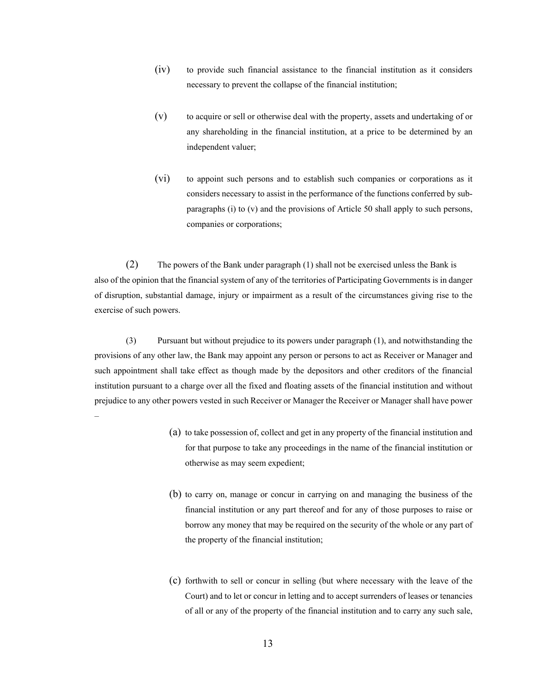- (iv) to provide such financial assistance to the financial institution as it considers necessary to prevent the collapse of the financial institution;
- (v) to acquire or sell or otherwise deal with the property, assets and undertaking of or any shareholding in the financial institution, at a price to be determined by an independent valuer;
- (vi) to appoint such persons and to establish such companies or corporations as it considers necessary to assist in the performance of the functions conferred by subparagraphs (i) to (v) and the provisions of Article 50 shall apply to such persons, companies or corporations;

(2) The powers of the Bank under paragraph (1) shall not be exercised unless the Bank is also of the opinion that the financial system of any of the territories of Participating Governments is in danger of disruption, substantial damage, injury or impairment as a result of the circumstances giving rise to the exercise of such powers.

 (3) Pursuant but without prejudice to its powers under paragraph (1), and notwithstanding the provisions of any other law, the Bank may appoint any person or persons to act as Receiver or Manager and such appointment shall take effect as though made by the depositors and other creditors of the financial institution pursuant to a charge over all the fixed and floating assets of the financial institution and without prejudice to any other powers vested in such Receiver or Manager the Receiver or Manager shall have power

–

- (a) to take possession of, collect and get in any property of the financial institution and for that purpose to take any proceedings in the name of the financial institution or otherwise as may seem expedient;
- (b) to carry on, manage or concur in carrying on and managing the business of the financial institution or any part thereof and for any of those purposes to raise or borrow any money that may be required on the security of the whole or any part of the property of the financial institution;
- (c) forthwith to sell or concur in selling (but where necessary with the leave of the Court) and to let or concur in letting and to accept surrenders of leases or tenancies of all or any of the property of the financial institution and to carry any such sale,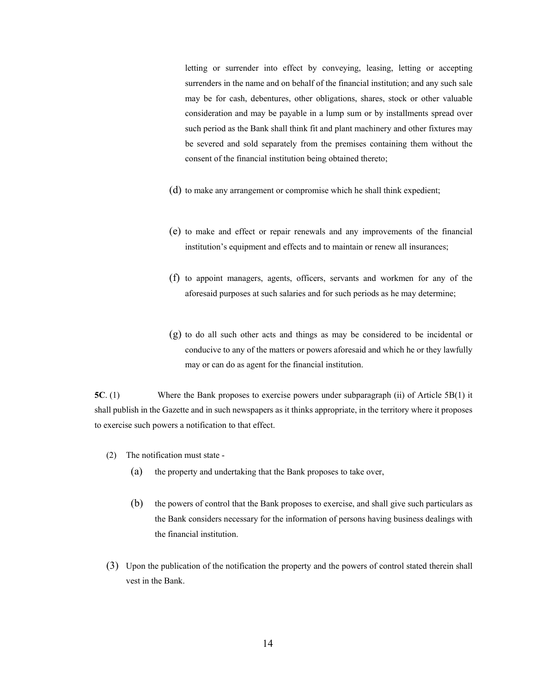letting or surrender into effect by conveying, leasing, letting or accepting surrenders in the name and on behalf of the financial institution; and any such sale may be for cash, debentures, other obligations, shares, stock or other valuable consideration and may be payable in a lump sum or by installments spread over such period as the Bank shall think fit and plant machinery and other fixtures may be severed and sold separately from the premises containing them without the consent of the financial institution being obtained thereto;

- (d) to make any arrangement or compromise which he shall think expedient;
- (e) to make and effect or repair renewals and any improvements of the financial institution's equipment and effects and to maintain or renew all insurances;
- (f) to appoint managers, agents, officers, servants and workmen for any of the aforesaid purposes at such salaries and for such periods as he may determine;
- (g) to do all such other acts and things as may be considered to be incidental or conducive to any of the matters or powers aforesaid and which he or they lawfully may or can do as agent for the financial institution.

**5C**. (1) Where the Bank proposes to exercise powers under subparagraph (ii) of Article 5B(1) it shall publish in the Gazette and in such newspapers as it thinks appropriate, in the territory where it proposes to exercise such powers a notification to that effect.

- (2) The notification must state
	- (a) the property and undertaking that the Bank proposes to take over,
	- (b) the powers of control that the Bank proposes to exercise, and shall give such particulars as the Bank considers necessary for the information of persons having business dealings with the financial institution.
- (3) Upon the publication of the notification the property and the powers of control stated therein shall vest in the Bank.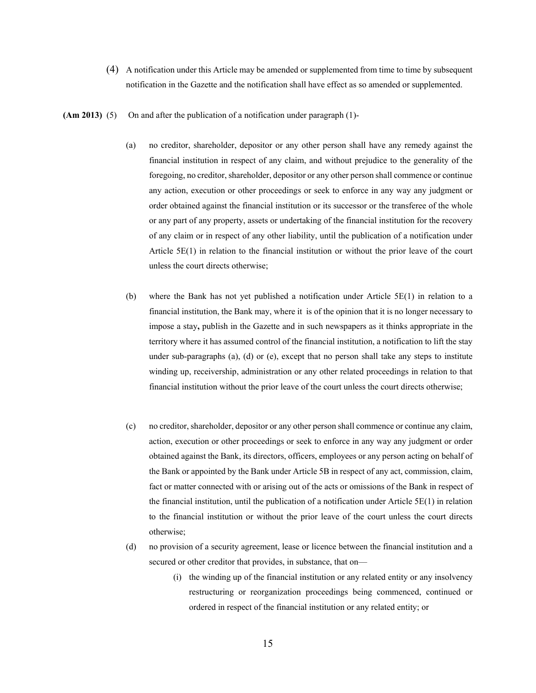- (4) A notification under this Article may be amended or supplemented from time to time by subsequent notification in the Gazette and the notification shall have effect as so amended or supplemented.
- **(Am 2013)** (5) On and after the publication of a notification under paragraph (1)-
	- (a) no creditor, shareholder, depositor or any other person shall have any remedy against the financial institution in respect of any claim, and without prejudice to the generality of the foregoing, no creditor, shareholder, depositor or any other person shall commence or continue any action, execution or other proceedings or seek to enforce in any way any judgment or order obtained against the financial institution or its successor or the transferee of the whole or any part of any property, assets or undertaking of the financial institution for the recovery of any claim or in respect of any other liability, until the publication of a notification under Article 5E(1) in relation to the financial institution or without the prior leave of the court unless the court directs otherwise;
	- (b) where the Bank has not yet published a notification under Article 5E(1) in relation to a financial institution, the Bank may, where it is of the opinion that it is no longer necessary to impose a stay**,** publish in the Gazette and in such newspapers as it thinks appropriate in the territory where it has assumed control of the financial institution, a notification to lift the stay under sub-paragraphs (a), (d) or (e), except that no person shall take any steps to institute winding up, receivership, administration or any other related proceedings in relation to that financial institution without the prior leave of the court unless the court directs otherwise;
	- (c) no creditor, shareholder, depositor or any other person shall commence or continue any claim, action, execution or other proceedings or seek to enforce in any way any judgment or order obtained against the Bank, its directors, officers, employees or any person acting on behalf of the Bank or appointed by the Bank under Article 5B in respect of any act, commission, claim, fact or matter connected with or arising out of the acts or omissions of the Bank in respect of the financial institution, until the publication of a notification under Article  $5E(1)$  in relation to the financial institution or without the prior leave of the court unless the court directs otherwise;
	- (d) no provision of a security agreement, lease or licence between the financial institution and a secured or other creditor that provides, in substance, that on—
		- (i) the winding up of the financial institution or any related entity or any insolvency restructuring or reorganization proceedings being commenced, continued or ordered in respect of the financial institution or any related entity; or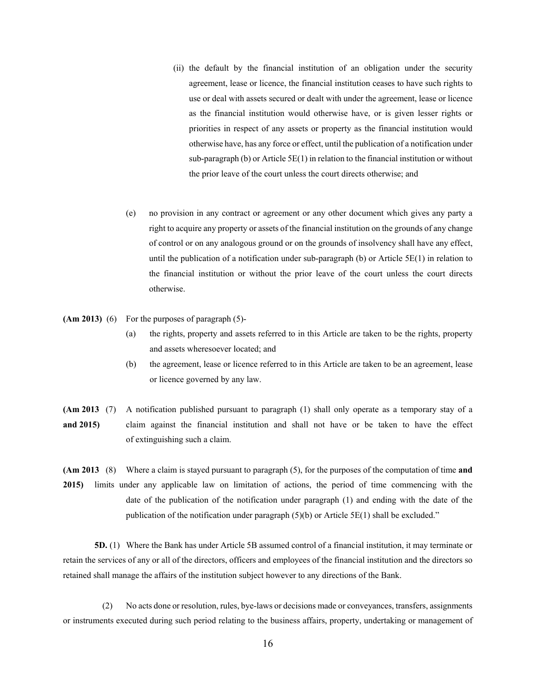- (ii) the default by the financial institution of an obligation under the security agreement, lease or licence, the financial institution ceases to have such rights to use or deal with assets secured or dealt with under the agreement, lease or licence as the financial institution would otherwise have, or is given lesser rights or priorities in respect of any assets or property as the financial institution would otherwise have, has any force or effect, until the publication of a notification under sub-paragraph (b) or Article  $5E(1)$  in relation to the financial institution or without the prior leave of the court unless the court directs otherwise; and
- (e) no provision in any contract or agreement or any other document which gives any party a right to acquire any property or assets of the financial institution on the grounds of any change of control or on any analogous ground or on the grounds of insolvency shall have any effect, until the publication of a notification under sub-paragraph (b) or Article  $5E(1)$  in relation to the financial institution or without the prior leave of the court unless the court directs otherwise.
- **(Am 2013)** (6) For the purposes of paragraph (5)-
	- (a) the rights, property and assets referred to in this Article are taken to be the rights, property and assets wheresoever located; and
	- (b) the agreement, lease or licence referred to in this Article are taken to be an agreement, lease or licence governed by any law.
- **(Am 2013** (7) A notification published pursuant to paragraph (1) shall only operate as a temporary stay of a **and 2015)** claim against the financial institution and shall not have or be taken to have the effect of extinguishing such a claim.

**(Am 2013** (8) Where a claim is stayed pursuant to paragraph (5), for the purposes of the computation of time **and 2015)** limits under any applicable law on limitation of actions, the period of time commencing with the date of the publication of the notification under paragraph (1) and ending with the date of the publication of the notification under paragraph (5)(b) or Article 5E(1) shall be excluded."

**5D.** (1) Where the Bank has under Article 5B assumed control of a financial institution, it may terminate or retain the services of any or all of the directors, officers and employees of the financial institution and the directors so retained shall manage the affairs of the institution subject however to any directions of the Bank.

(2) No acts done or resolution, rules, bye-laws or decisions made or conveyances, transfers, assignments or instruments executed during such period relating to the business affairs, property, undertaking or management of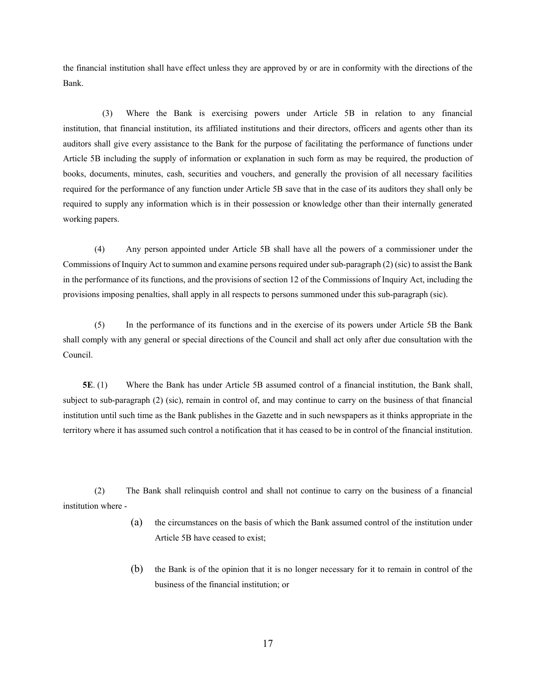the financial institution shall have effect unless they are approved by or are in conformity with the directions of the Bank.

(3) Where the Bank is exercising powers under Article 5B in relation to any financial institution, that financial institution, its affiliated institutions and their directors, officers and agents other than its auditors shall give every assistance to the Bank for the purpose of facilitating the performance of functions under Article 5B including the supply of information or explanation in such form as may be required, the production of books, documents, minutes, cash, securities and vouchers, and generally the provision of all necessary facilities required for the performance of any function under Article 5B save that in the case of its auditors they shall only be required to supply any information which is in their possession or knowledge other than their internally generated working papers.

 (4) Any person appointed under Article 5B shall have all the powers of a commissioner under the Commissions of Inquiry Act to summon and examine persons required under sub-paragraph (2) (sic) to assist the Bank in the performance of its functions, and the provisions of section 12 of the Commissions of Inquiry Act, including the provisions imposing penalties, shall apply in all respects to persons summoned under this sub-paragraph (sic).

(5) In the performance of its functions and in the exercise of its powers under Article 5B the Bank shall comply with any general or special directions of the Council and shall act only after due consultation with the Council.

**5E**. (1) Where the Bank has under Article 5B assumed control of a financial institution, the Bank shall, subject to sub-paragraph (2) (sic), remain in control of, and may continue to carry on the business of that financial institution until such time as the Bank publishes in the Gazette and in such newspapers as it thinks appropriate in the territory where it has assumed such control a notification that it has ceased to be in control of the financial institution.

 (2) The Bank shall relinquish control and shall not continue to carry on the business of a financial institution where -

- (a) the circumstances on the basis of which the Bank assumed control of the institution under Article 5B have ceased to exist;
- (b) the Bank is of the opinion that it is no longer necessary for it to remain in control of the business of the financial institution; or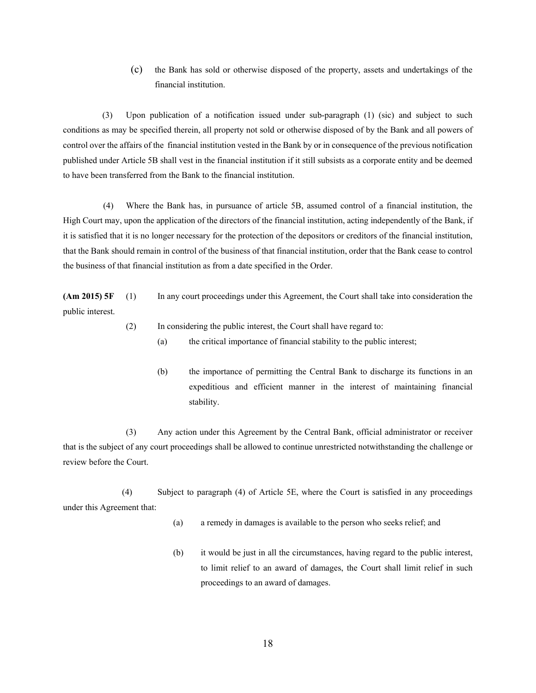(c) the Bank has sold or otherwise disposed of the property, assets and undertakings of the financial institution.

(3) Upon publication of a notification issued under sub-paragraph (1) (sic) and subject to such conditions as may be specified therein, all property not sold or otherwise disposed of by the Bank and all powers of control over the affairs of the financial institution vested in the Bank by or in consequence of the previous notification published under Article 5B shall vest in the financial institution if it still subsists as a corporate entity and be deemed to have been transferred from the Bank to the financial institution.

 (4) Where the Bank has, in pursuance of article 5B, assumed control of a financial institution, the High Court may, upon the application of the directors of the financial institution, acting independently of the Bank, if it is satisfied that it is no longer necessary for the protection of the depositors or creditors of the financial institution, that the Bank should remain in control of the business of that financial institution, order that the Bank cease to control the business of that financial institution as from a date specified in the Order.

**(Am 2015) 5F** (1) In any court proceedings under this Agreement, the Court shall take into consideration the public interest.

- (2) In considering the public interest, the Court shall have regard to:
	- (a) the critical importance of financial stability to the public interest;
	- (b) the importance of permitting the Central Bank to discharge its functions in an expeditious and efficient manner in the interest of maintaining financial stability.

 (3) Any action under this Agreement by the Central Bank, official administrator or receiver that is the subject of any court proceedings shall be allowed to continue unrestricted notwithstanding the challenge or review before the Court.

(4) Subject to paragraph (4) of Article 5E, where the Court is satisfied in any proceedings under this Agreement that:

- (a) a remedy in damages is available to the person who seeks relief; and
- (b) it would be just in all the circumstances, having regard to the public interest, to limit relief to an award of damages, the Court shall limit relief in such proceedings to an award of damages.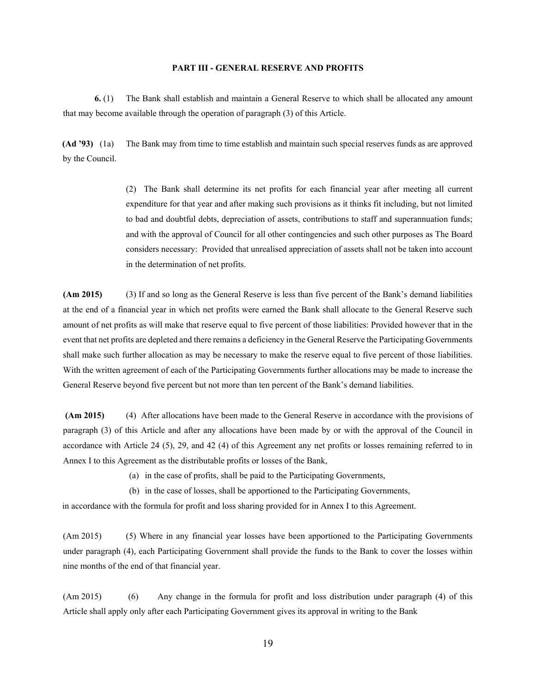#### **PART III - GENERAL RESERVE AND PROFITS**

**6.** (1) The Bank shall establish and maintain a General Reserve to which shall be allocated any amount that may become available through the operation of paragraph (3) of this Article.

**(Ad '93)** (1a) The Bank may from time to time establish and maintain such special reserves funds as are approved by the Council.

> (2) The Bank shall determine its net profits for each financial year after meeting all current expenditure for that year and after making such provisions as it thinks fit including, but not limited to bad and doubtful debts, depreciation of assets, contributions to staff and superannuation funds; and with the approval of Council for all other contingencies and such other purposes as The Board considers necessary: Provided that unrealised appreciation of assets shall not be taken into account in the determination of net profits.

**(Am 2015)** (3) If and so long as the General Reserve is less than five percent of the Bank's demand liabilities at the end of a financial year in which net profits were earned the Bank shall allocate to the General Reserve such amount of net profits as will make that reserve equal to five percent of those liabilities: Provided however that in the event that net profits are depleted and there remains a deficiency in the General Reserve the Participating Governments shall make such further allocation as may be necessary to make the reserve equal to five percent of those liabilities. With the written agreement of each of the Participating Governments further allocations may be made to increase the General Reserve beyond five percent but not more than ten percent of the Bank's demand liabilities.

 **(Am 2015)** (4) After allocations have been made to the General Reserve in accordance with the provisions of paragraph (3) of this Article and after any allocations have been made by or with the approval of the Council in accordance with Article 24 (5), 29, and 42 (4) of this Agreement any net profits or losses remaining referred to in Annex I to this Agreement as the distributable profits or losses of the Bank,

- (a) in the case of profits, shall be paid to the Participating Governments,
- (b) in the case of losses, shall be apportioned to the Participating Governments,

in accordance with the formula for profit and loss sharing provided for in Annex I to this Agreement.

(Am 2015) (5) Where in any financial year losses have been apportioned to the Participating Governments under paragraph (4), each Participating Government shall provide the funds to the Bank to cover the losses within nine months of the end of that financial year.

(Am 2015) (6) Any change in the formula for profit and loss distribution under paragraph (4) of this Article shall apply only after each Participating Government gives its approval in writing to the Bank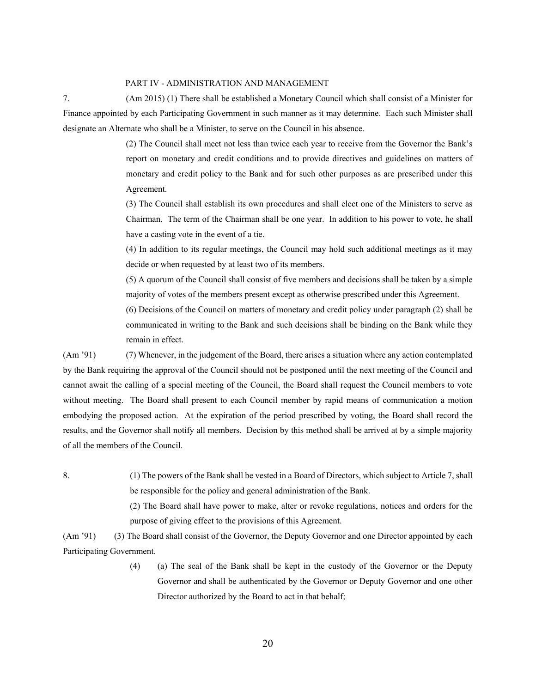#### PART IV - ADMINISTRATION AND MANAGEMENT

7. (Am 2015) (1) There shall be established a Monetary Council which shall consist of a Minister for Finance appointed by each Participating Government in such manner as it may determine. Each such Minister shall designate an Alternate who shall be a Minister, to serve on the Council in his absence.

> (2) The Council shall meet not less than twice each year to receive from the Governor the Bank's report on monetary and credit conditions and to provide directives and guidelines on matters of monetary and credit policy to the Bank and for such other purposes as are prescribed under this Agreement.

> (3) The Council shall establish its own procedures and shall elect one of the Ministers to serve as Chairman. The term of the Chairman shall be one year. In addition to his power to vote, he shall have a casting vote in the event of a tie.

> (4) In addition to its regular meetings, the Council may hold such additional meetings as it may decide or when requested by at least two of its members.

> (5) A quorum of the Council shall consist of five members and decisions shall be taken by a simple majority of votes of the members present except as otherwise prescribed under this Agreement.

> (6) Decisions of the Council on matters of monetary and credit policy under paragraph (2) shall be communicated in writing to the Bank and such decisions shall be binding on the Bank while they remain in effect.

(Am '91) (7) Whenever, in the judgement of the Board, there arises a situation where any action contemplated by the Bank requiring the approval of the Council should not be postponed until the next meeting of the Council and cannot await the calling of a special meeting of the Council, the Board shall request the Council members to vote without meeting. The Board shall present to each Council member by rapid means of communication a motion embodying the proposed action. At the expiration of the period prescribed by voting, the Board shall record the results, and the Governor shall notify all members. Decision by this method shall be arrived at by a simple majority of all the members of the Council.

8. (1) The powers of the Bank shall be vested in a Board of Directors, which subject to Article 7, shall be responsible for the policy and general administration of the Bank.

> (2) The Board shall have power to make, alter or revoke regulations, notices and orders for the purpose of giving effect to the provisions of this Agreement.

(Am '91) (3) The Board shall consist of the Governor, the Deputy Governor and one Director appointed by each Participating Government.

> (4) (a) The seal of the Bank shall be kept in the custody of the Governor or the Deputy Governor and shall be authenticated by the Governor or Deputy Governor and one other Director authorized by the Board to act in that behalf;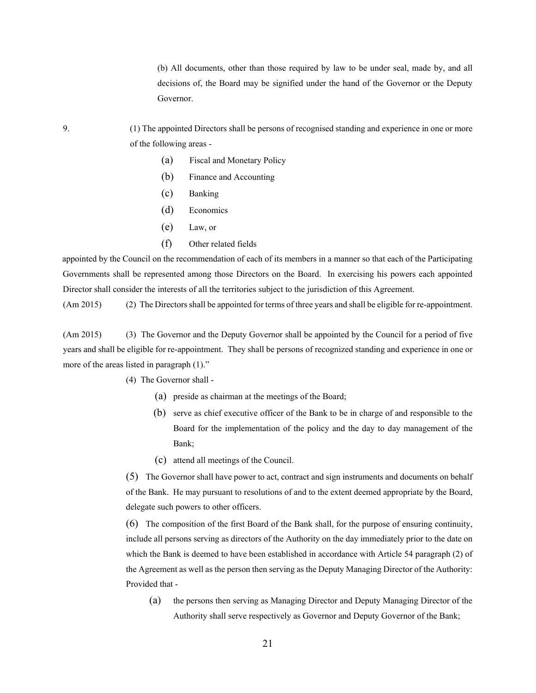(b) All documents, other than those required by law to be under seal, made by, and all decisions of, the Board may be signified under the hand of the Governor or the Deputy Governor.

9. (1) The appointed Directors shall be persons of recognised standing and experience in one or more of the following areas -

- (a) Fiscal and Monetary Policy
- (b) Finance and Accounting
- (c) Banking
- (d) Economics
- (e) Law, or
- (f) Other related fields

appointed by the Council on the recommendation of each of its members in a manner so that each of the Participating Governments shall be represented among those Directors on the Board. In exercising his powers each appointed Director shall consider the interests of all the territories subject to the jurisdiction of this Agreement.

(Am 2015) (2) The Directors shall be appointed for terms of three years and shall be eligible for re-appointment.

(Am 2015) (3) The Governor and the Deputy Governor shall be appointed by the Council for a period of five years and shall be eligible for re-appointment. They shall be persons of recognized standing and experience in one or more of the areas listed in paragraph (1)."

(4) The Governor shall -

- (a) preside as chairman at the meetings of the Board;
- (b) serve as chief executive officer of the Bank to be in charge of and responsible to the Board for the implementation of the policy and the day to day management of the Bank;
- (c) attend all meetings of the Council.

(5) The Governor shall have power to act, contract and sign instruments and documents on behalf of the Bank. He may pursuant to resolutions of and to the extent deemed appropriate by the Board, delegate such powers to other officers.

(6) The composition of the first Board of the Bank shall, for the purpose of ensuring continuity, include all persons serving as directors of the Authority on the day immediately prior to the date on which the Bank is deemed to have been established in accordance with Article 54 paragraph (2) of the Agreement as well as the person then serving as the Deputy Managing Director of the Authority: Provided that -

(a) the persons then serving as Managing Director and Deputy Managing Director of the Authority shall serve respectively as Governor and Deputy Governor of the Bank;

21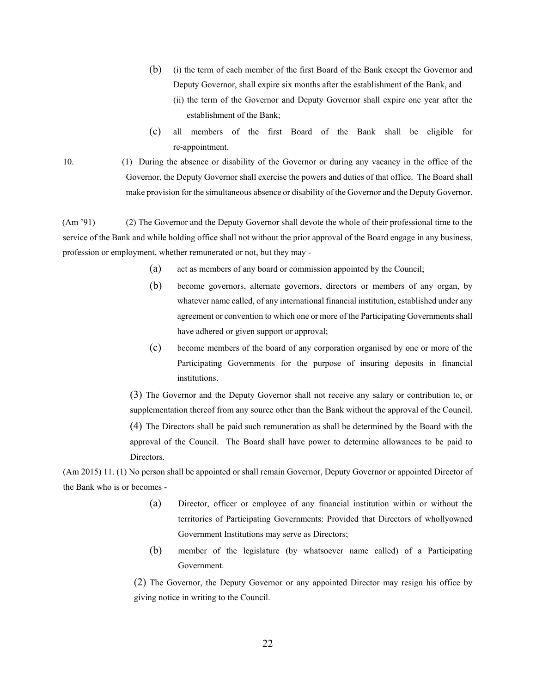- (b) (i) the term of each member of the first Board of the Bank except the Governor and Deputy Governor, shall expire six months after the establishment of the Bank, and
	- (ii) the term of the Governor and Deputy Governor shall expire one year after the establishment of the Bank;
- (c) all members of the first Board of the Bank shall be eligible for re-appointment.

10. (1) During the absence or disability of the Governor or during any vacancy in the office of the Governor, the Deputy Governor shall exercise the powers and duties of that office. The Board shall make provision for the simultaneous absence or disability of the Governor and the Deputy Governor.

(Am '91) (2) The Governor and the Deputy Governor shall devote the whole of their professional time to the service of the Bank and while holding office shall not without the prior approval of the Board engage in any business, profession or employment, whether remunerated or not, but they may -

- (a) act as members of any board or commission appointed by the Council;
- (b) become governors, alternate governors, directors or members of any organ, by whatever name called, of any international financial institution, established under any agreement or convention to which one or more of the Participating Governments shall have adhered or given support or approval;
- (c) become members of the board of any corporation organised by one or more of the Participating Governments for the purpose of insuring deposits in financial institutions.

(3) The Governor and the Deputy Governor shall not receive any salary or contribution to, or supplementation thereof from any source other than the Bank without the approval of the Council.

(4) The Directors shall be paid such remuneration as shall be determined by the Board with the approval of the Council. The Board shall have power to determine allowances to be paid to Directors.

(Am 2015) 11. (1) No person shall be appointed or shall remain Governor, Deputy Governor or appointed Director of the Bank who is or becomes -

- (a) Director, officer or employee of any financial institution within or without the territories of Participating Governments: Provided that Directors of whollyowned Government Institutions may serve as Directors;
- (b) member of the legislature (by whatsoever name called) of a Participating Government.

(2) The Governor, the Deputy Governor or any appointed Director may resign his office by giving notice in writing to the Council.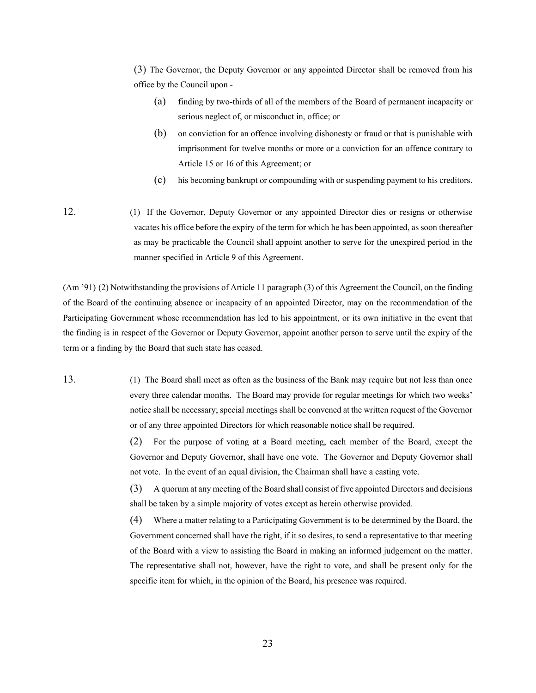(3) The Governor, the Deputy Governor or any appointed Director shall be removed from his office by the Council upon -

- (a) finding by two-thirds of all of the members of the Board of permanent incapacity or serious neglect of, or misconduct in, office; or
- (b) on conviction for an offence involving dishonesty or fraud or that is punishable with imprisonment for twelve months or more or a conviction for an offence contrary to Article 15 or 16 of this Agreement; or
- (c) his becoming bankrupt or compounding with or suspending payment to his creditors.
- 12. (1) If the Governor, Deputy Governor or any appointed Director dies or resigns or otherwise vacates his office before the expiry of the term for which he has been appointed, as soon thereafter as may be practicable the Council shall appoint another to serve for the unexpired period in the manner specified in Article 9 of this Agreement.

(Am '91) (2) Notwithstanding the provisions of Article 11 paragraph (3) of this Agreement the Council, on the finding of the Board of the continuing absence or incapacity of an appointed Director, may on the recommendation of the Participating Government whose recommendation has led to his appointment, or its own initiative in the event that the finding is in respect of the Governor or Deputy Governor, appoint another person to serve until the expiry of the term or a finding by the Board that such state has ceased.

13. (1) The Board shall meet as often as the business of the Bank may require but not less than once every three calendar months. The Board may provide for regular meetings for which two weeks' notice shall be necessary; special meetings shall be convened at the written request of the Governor or of any three appointed Directors for which reasonable notice shall be required.

> (2) For the purpose of voting at a Board meeting, each member of the Board, except the Governor and Deputy Governor, shall have one vote. The Governor and Deputy Governor shall not vote. In the event of an equal division, the Chairman shall have a casting vote.

> (3) A quorum at any meeting of the Board shall consist of five appointed Directors and decisions shall be taken by a simple majority of votes except as herein otherwise provided.

> (4) Where a matter relating to a Participating Government is to be determined by the Board, the Government concerned shall have the right, if it so desires, to send a representative to that meeting of the Board with a view to assisting the Board in making an informed judgement on the matter. The representative shall not, however, have the right to vote, and shall be present only for the specific item for which, in the opinion of the Board, his presence was required.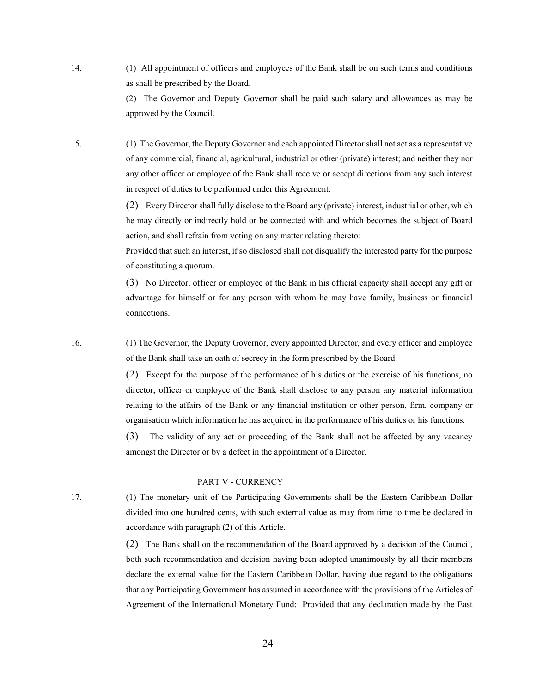14. (1) All appointment of officers and employees of the Bank shall be on such terms and conditions as shall be prescribed by the Board.

> (2) The Governor and Deputy Governor shall be paid such salary and allowances as may be approved by the Council.

15. (1) The Governor, the Deputy Governor and each appointed Director shall not act as a representative of any commercial, financial, agricultural, industrial or other (private) interest; and neither they nor any other officer or employee of the Bank shall receive or accept directions from any such interest in respect of duties to be performed under this Agreement.

> (2) Every Director shall fully disclose to the Board any (private) interest, industrial or other, which he may directly or indirectly hold or be connected with and which becomes the subject of Board action, and shall refrain from voting on any matter relating thereto:

> Provided that such an interest, if so disclosed shall not disqualify the interested party for the purpose of constituting a quorum.

> (3) No Director, officer or employee of the Bank in his official capacity shall accept any gift or advantage for himself or for any person with whom he may have family, business or financial connections.

16. (1) The Governor, the Deputy Governor, every appointed Director, and every officer and employee of the Bank shall take an oath of secrecy in the form prescribed by the Board.

> (2) Except for the purpose of the performance of his duties or the exercise of his functions, no director, officer or employee of the Bank shall disclose to any person any material information relating to the affairs of the Bank or any financial institution or other person, firm, company or organisation which information he has acquired in the performance of his duties or his functions.

> (3) The validity of any act or proceeding of the Bank shall not be affected by any vacancy amongst the Director or by a defect in the appointment of a Director.

#### PART V - CURRENCY

17. (1) The monetary unit of the Participating Governments shall be the Eastern Caribbean Dollar divided into one hundred cents, with such external value as may from time to time be declared in accordance with paragraph (2) of this Article.

> (2) The Bank shall on the recommendation of the Board approved by a decision of the Council, both such recommendation and decision having been adopted unanimously by all their members declare the external value for the Eastern Caribbean Dollar, having due regard to the obligations that any Participating Government has assumed in accordance with the provisions of the Articles of Agreement of the International Monetary Fund: Provided that any declaration made by the East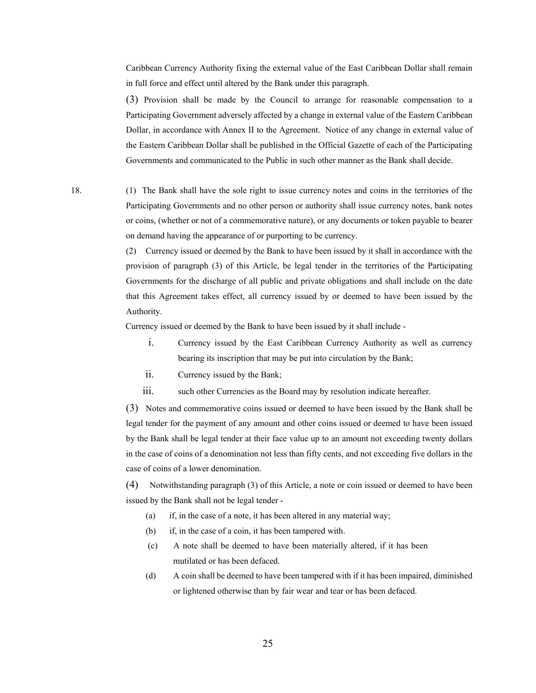Caribbean Currency Authority fixing the external value of the East Caribbean Dollar shall remain in full force and effect until altered by the Bank under this paragraph.

(3) Provision shall be made by the Council to arrange for reasonable compensation to a Participating Government adversely affected by a change in external value of the Eastern Caribbean Dollar, in accordance with Annex II to the Agreement. Notice of any change in external value of the Eastern Caribbean Dollar shall be published in the Official Gazette of each of the Participating Governments and communicated to the Public in such other manner as the Bank shall decide.

18. (1) The Bank shall have the sole right to issue currency notes and coins in the territories of the Participating Governments and no other person or authority shall issue currency notes, bank notes or coins, (whether or not of a commemorative nature), or any documents or token payable to bearer on demand having the appearance of or purporting to be currency.

> (2) Currency issued or deemed by the Bank to have been issued by it shall in accordance with the provision of paragraph (3) of this Article, be legal tender in the territories of the Participating Governments for the discharge of all public and private obligations and shall include on the date that this Agreement takes effect, all currency issued by or deemed to have been issued by the Authority.

Currency issued or deemed by the Bank to have been issued by it shall include -

- i. Currency issued by the East Caribbean Currency Authority as well as currency bearing its inscription that may be put into circulation by the Bank;
- ii. Currency issued by the Bank;
- iii. such other Currencies as the Board may by resolution indicate hereafter.

(3) Notes and commemorative coins issued or deemed to have been issued by the Bank shall be legal tender for the payment of any amount and other coins issued or deemed to have been issued by the Bank shall be legal tender at their face value up to an amount not exceeding twenty dollars in the case of coins of a denomination not less than fifty cents, and not exceeding five dollars in the case of coins of a lower denomination.

(4) Notwithstanding paragraph (3) of this Article, a note or coin issued or deemed to have been issued by the Bank shall not be legal tender -

- (a) if, in the case of a note, it has been altered in any material way;
- (b) if, in the case of a coin, it has been tampered with.
- (c) A note shall be deemed to have been materially altered, if it has been mutilated or has been defaced.
- (d) A coin shall be deemed to have been tampered with if it has been impaired, diminished or lightened otherwise than by fair wear and tear or has been defaced.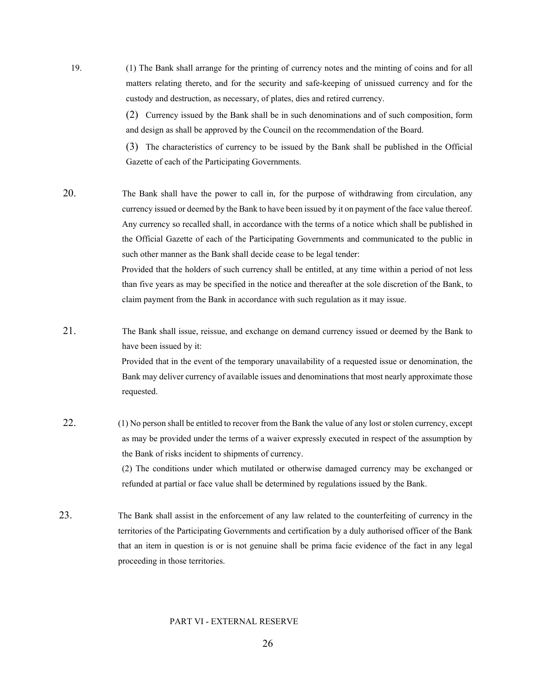19. (1) The Bank shall arrange for the printing of currency notes and the minting of coins and for all matters relating thereto, and for the security and safe-keeping of unissued currency and for the custody and destruction, as necessary, of plates, dies and retired currency.

> (2) Currency issued by the Bank shall be in such denominations and of such composition, form and design as shall be approved by the Council on the recommendation of the Board.

> (3) The characteristics of currency to be issued by the Bank shall be published in the Official Gazette of each of the Participating Governments.

20. The Bank shall have the power to call in, for the purpose of withdrawing from circulation, any currency issued or deemed by the Bank to have been issued by it on payment of the face value thereof. Any currency so recalled shall, in accordance with the terms of a notice which shall be published in the Official Gazette of each of the Participating Governments and communicated to the public in such other manner as the Bank shall decide cease to be legal tender: Provided that the holders of such currency shall be entitled, at any time within a period of not less than five years as may be specified in the notice and thereafter at the sole discretion of the Bank, to

claim payment from the Bank in accordance with such regulation as it may issue.

21. The Bank shall issue, reissue, and exchange on demand currency issued or deemed by the Bank to have been issued by it: Provided that in the event of the temporary unavailability of a requested issue or denomination, the Bank may deliver currency of available issues and denominations that most nearly approximate those

requested.

- 22. (1) No person shall be entitled to recover from the Bank the value of any lost or stolen currency, except as may be provided under the terms of a waiver expressly executed in respect of the assumption by the Bank of risks incident to shipments of currency. (2) The conditions under which mutilated or otherwise damaged currency may be exchanged or refunded at partial or face value shall be determined by regulations issued by the Bank.
- 23. The Bank shall assist in the enforcement of any law related to the counterfeiting of currency in the territories of the Participating Governments and certification by a duly authorised officer of the Bank that an item in question is or is not genuine shall be prima facie evidence of the fact in any legal proceeding in those territories.

#### PART VI - EXTERNAL RESERVE

26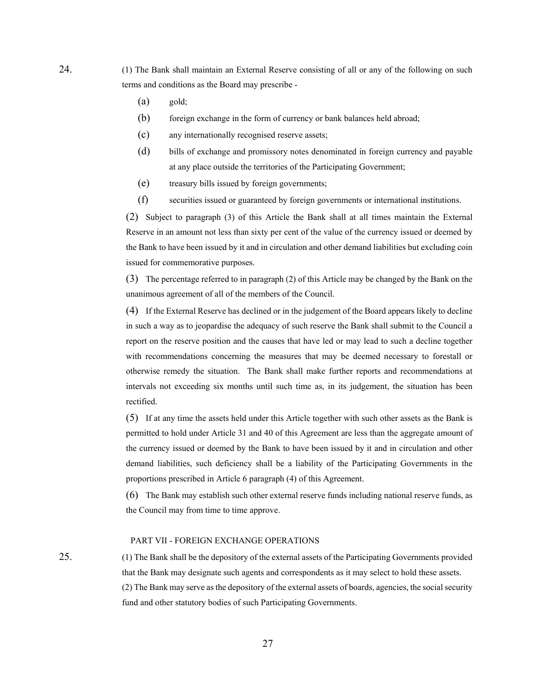24. (1) The Bank shall maintain an External Reserve consisting of all or any of the following on such terms and conditions as the Board may prescribe -

- (a) gold;
- (b) foreign exchange in the form of currency or bank balances held abroad;
- (c) any internationally recognised reserve assets;
- (d) bills of exchange and promissory notes denominated in foreign currency and payable at any place outside the territories of the Participating Government;
- (e) treasury bills issued by foreign governments;
- (f) securities issued or guaranteed by foreign governments or international institutions.

(2) Subject to paragraph (3) of this Article the Bank shall at all times maintain the External Reserve in an amount not less than sixty per cent of the value of the currency issued or deemed by the Bank to have been issued by it and in circulation and other demand liabilities but excluding coin issued for commemorative purposes.

(3) The percentage referred to in paragraph (2) of this Article may be changed by the Bank on the unanimous agreement of all of the members of the Council.

(4) If the External Reserve has declined or in the judgement of the Board appears likely to decline in such a way as to jeopardise the adequacy of such reserve the Bank shall submit to the Council a report on the reserve position and the causes that have led or may lead to such a decline together with recommendations concerning the measures that may be deemed necessary to forestall or otherwise remedy the situation. The Bank shall make further reports and recommendations at intervals not exceeding six months until such time as, in its judgement, the situation has been rectified.

(5) If at any time the assets held under this Article together with such other assets as the Bank is permitted to hold under Article 31 and 40 of this Agreement are less than the aggregate amount of the currency issued or deemed by the Bank to have been issued by it and in circulation and other demand liabilities, such deficiency shall be a liability of the Participating Governments in the proportions prescribed in Article 6 paragraph (4) of this Agreement.

(6) The Bank may establish such other external reserve funds including national reserve funds, as the Council may from time to time approve.

#### PART VII - FOREIGN EXCHANGE OPERATIONS

25. (1) The Bank shall be the depository of the external assets of the Participating Governments provided that the Bank may designate such agents and correspondents as it may select to hold these assets. (2) The Bank may serve as the depository of the external assets of boards, agencies, the social security fund and other statutory bodies of such Participating Governments.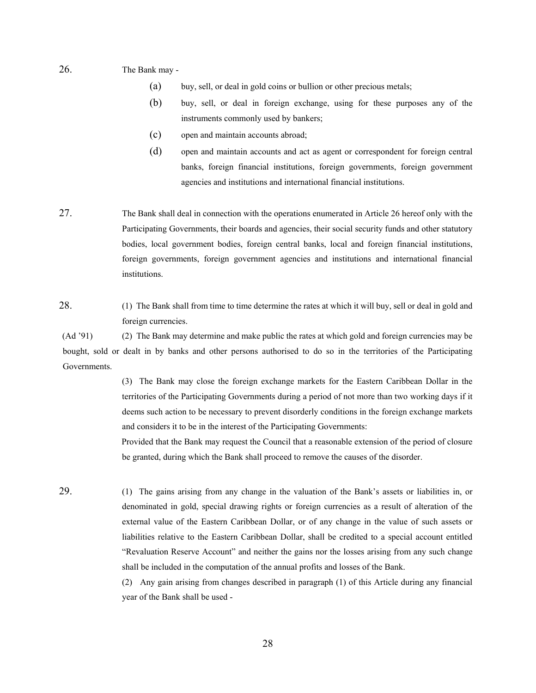26. The Bank may -

- (a) buy, sell, or deal in gold coins or bullion or other precious metals;
- (b) buy, sell, or deal in foreign exchange, using for these purposes any of the instruments commonly used by bankers;
- (c) open and maintain accounts abroad;
- (d) open and maintain accounts and act as agent or correspondent for foreign central banks, foreign financial institutions, foreign governments, foreign government agencies and institutions and international financial institutions.
- 27. The Bank shall deal in connection with the operations enumerated in Article 26 hereof only with the Participating Governments, their boards and agencies, their social security funds and other statutory bodies, local government bodies, foreign central banks, local and foreign financial institutions, foreign governments, foreign government agencies and institutions and international financial institutions.
- 28. (1) The Bank shall from time to time determine the rates at which it will buy, sell or deal in gold and foreign currencies.

(Ad '91) (2) The Bank may determine and make public the rates at which gold and foreign currencies may be bought, sold or dealt in by banks and other persons authorised to do so in the territories of the Participating Governments.

> (3) The Bank may close the foreign exchange markets for the Eastern Caribbean Dollar in the territories of the Participating Governments during a period of not more than two working days if it deems such action to be necessary to prevent disorderly conditions in the foreign exchange markets and considers it to be in the interest of the Participating Governments:

> Provided that the Bank may request the Council that a reasonable extension of the period of closure be granted, during which the Bank shall proceed to remove the causes of the disorder.

29. (1) The gains arising from any change in the valuation of the Bank's assets or liabilities in, or denominated in gold, special drawing rights or foreign currencies as a result of alteration of the external value of the Eastern Caribbean Dollar, or of any change in the value of such assets or liabilities relative to the Eastern Caribbean Dollar, shall be credited to a special account entitled "Revaluation Reserve Account" and neither the gains nor the losses arising from any such change shall be included in the computation of the annual profits and losses of the Bank.

> (2) Any gain arising from changes described in paragraph (1) of this Article during any financial year of the Bank shall be used -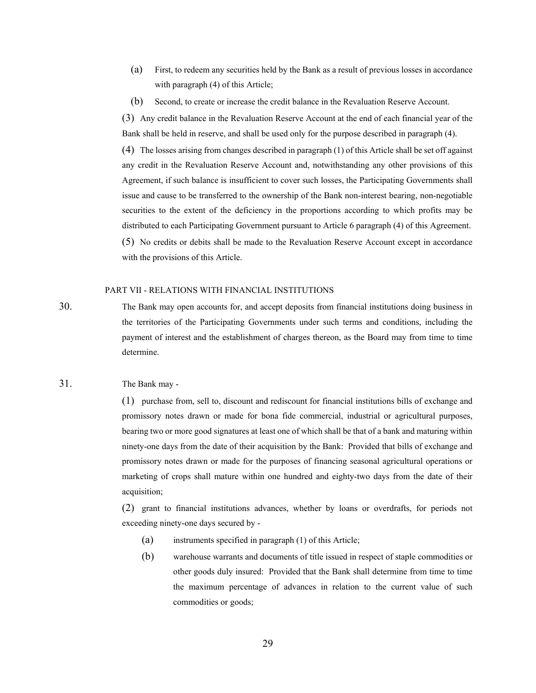- (a) First, to redeem any securities held by the Bank as a result of previous losses in accordance with paragraph (4) of this Article;
- (b) Second, to create or increase the credit balance in the Revaluation Reserve Account.

(3) Any credit balance in the Revaluation Reserve Account at the end of each financial year of the Bank shall be held in reserve, and shall be used only for the purpose described in paragraph (4).

(4) The losses arising from changes described in paragraph (1) of this Article shall be set off against any credit in the Revaluation Reserve Account and, notwithstanding any other provisions of this Agreement, if such balance is insufficient to cover such losses, the Participating Governments shall issue and cause to be transferred to the ownership of the Bank non-interest bearing, non-negotiable securities to the extent of the deficiency in the proportions according to which profits may be distributed to each Participating Government pursuant to Article 6 paragraph (4) of this Agreement. (5) No credits or debits shall be made to the Revaluation Reserve Account except in accordance

with the provisions of this Article.

#### PART VII - RELATIONS WITH FINANCIAL INSTITUTIONS

30. The Bank may open accounts for, and accept deposits from financial institutions doing business in the territories of the Participating Governments under such terms and conditions, including the payment of interest and the establishment of charges thereon, as the Board may from time to time determine.

#### 31. The Bank may -

(1) purchase from, sell to, discount and rediscount for financial institutions bills of exchange and promissory notes drawn or made for bona fide commercial, industrial or agricultural purposes, bearing two or more good signatures at least one of which shall be that of a bank and maturing within ninety-one days from the date of their acquisition by the Bank: Provided that bills of exchange and promissory notes drawn or made for the purposes of financing seasonal agricultural operations or marketing of crops shall mature within one hundred and eighty-two days from the date of their acquisition;

(2) grant to financial institutions advances, whether by loans or overdrafts, for periods not exceeding ninety-one days secured by -

- (a) instruments specified in paragraph (1) of this Article;
- (b) warehouse warrants and documents of title issued in respect of staple commodities or other goods duly insured: Provided that the Bank shall determine from time to time the maximum percentage of advances in relation to the current value of such commodities or goods;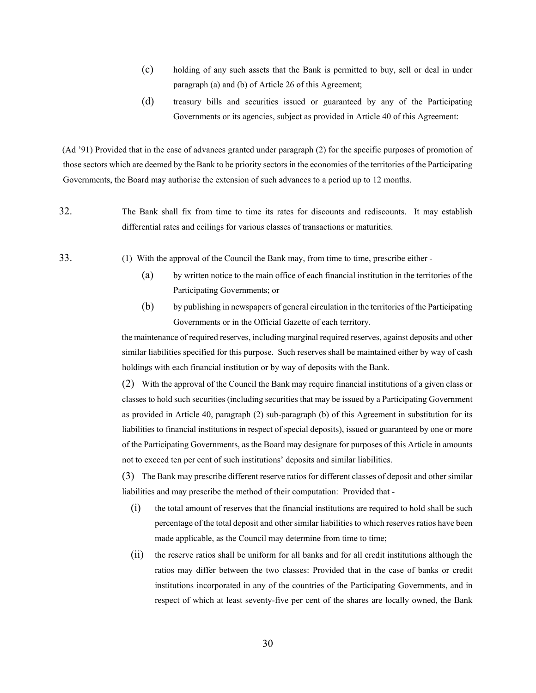- (c) holding of any such assets that the Bank is permitted to buy, sell or deal in under paragraph (a) and (b) of Article 26 of this Agreement;
- (d) treasury bills and securities issued or guaranteed by any of the Participating Governments or its agencies, subject as provided in Article 40 of this Agreement:

(Ad '91) Provided that in the case of advances granted under paragraph (2) for the specific purposes of promotion of those sectors which are deemed by the Bank to be priority sectors in the economies of the territories of the Participating Governments, the Board may authorise the extension of such advances to a period up to 12 months.

- 32. The Bank shall fix from time to time its rates for discounts and rediscounts. It may establish differential rates and ceilings for various classes of transactions or maturities.
- 
- 33. (1) With the approval of the Council the Bank may, from time to time, prescribe either
	- (a) by written notice to the main office of each financial institution in the territories of the Participating Governments; or
	- (b) by publishing in newspapers of general circulation in the territories of the Participating Governments or in the Official Gazette of each territory.

the maintenance of required reserves, including marginal required reserves, against deposits and other similar liabilities specified for this purpose. Such reserves shall be maintained either by way of cash holdings with each financial institution or by way of deposits with the Bank.

(2) With the approval of the Council the Bank may require financial institutions of a given class or classes to hold such securities (including securities that may be issued by a Participating Government as provided in Article 40, paragraph (2) sub-paragraph (b) of this Agreement in substitution for its liabilities to financial institutions in respect of special deposits), issued or guaranteed by one or more of the Participating Governments, as the Board may designate for purposes of this Article in amounts not to exceed ten per cent of such institutions' deposits and similar liabilities.

(3) The Bank may prescribe different reserve ratios for different classes of deposit and other similar liabilities and may prescribe the method of their computation: Provided that -

- (i) the total amount of reserves that the financial institutions are required to hold shall be such percentage of the total deposit and other similar liabilities to which reserves ratios have been made applicable, as the Council may determine from time to time;
- (ii) the reserve ratios shall be uniform for all banks and for all credit institutions although the ratios may differ between the two classes: Provided that in the case of banks or credit institutions incorporated in any of the countries of the Participating Governments, and in respect of which at least seventy-five per cent of the shares are locally owned, the Bank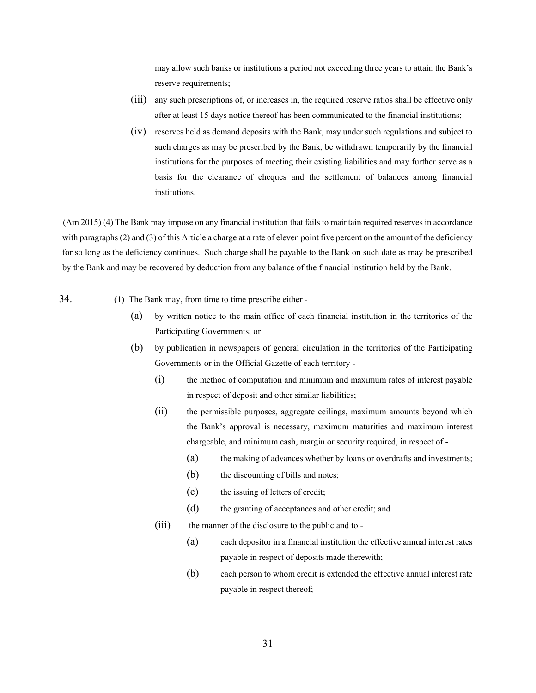may allow such banks or institutions a period not exceeding three years to attain the Bank's reserve requirements;

- (iii) any such prescriptions of, or increases in, the required reserve ratios shall be effective only after at least 15 days notice thereof has been communicated to the financial institutions;
- (iv) reserves held as demand deposits with the Bank, may under such regulations and subject to such charges as may be prescribed by the Bank, be withdrawn temporarily by the financial institutions for the purposes of meeting their existing liabilities and may further serve as a basis for the clearance of cheques and the settlement of balances among financial institutions.

(Am 2015) (4) The Bank may impose on any financial institution that fails to maintain required reserves in accordance with paragraphs (2) and (3) of this Article a charge at a rate of eleven point five percent on the amount of the deficiency for so long as the deficiency continues. Such charge shall be payable to the Bank on such date as may be prescribed by the Bank and may be recovered by deduction from any balance of the financial institution held by the Bank.

- 34. (1) The Bank may, from time to time prescribe either
	- (a) by written notice to the main office of each financial institution in the territories of the Participating Governments; or
	- (b) by publication in newspapers of general circulation in the territories of the Participating Governments or in the Official Gazette of each territory -
		- (i) the method of computation and minimum and maximum rates of interest payable in respect of deposit and other similar liabilities;
		- (ii) the permissible purposes, aggregate ceilings, maximum amounts beyond which the Bank's approval is necessary, maximum maturities and maximum interest chargeable, and minimum cash, margin or security required, in respect of -
			- (a) the making of advances whether by loans or overdrafts and investments;
			- (b) the discounting of bills and notes;
			- (c) the issuing of letters of credit;
			- (d) the granting of acceptances and other credit; and
		- (iii) the manner of the disclosure to the public and to -
			- (a) each depositor in a financial institution the effective annual interest rates payable in respect of deposits made therewith;
			- (b) each person to whom credit is extended the effective annual interest rate payable in respect thereof;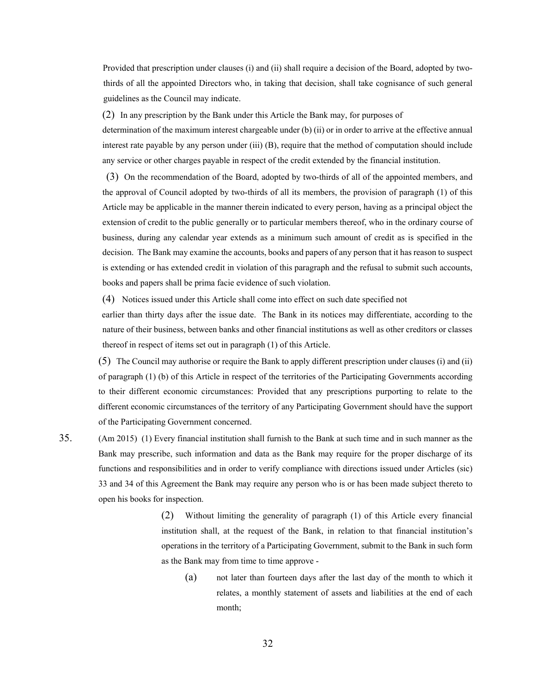Provided that prescription under clauses (i) and (ii) shall require a decision of the Board, adopted by twothirds of all the appointed Directors who, in taking that decision, shall take cognisance of such general guidelines as the Council may indicate.

(2) In any prescription by the Bank under this Article the Bank may, for purposes of

determination of the maximum interest chargeable under (b) (ii) or in order to arrive at the effective annual interest rate payable by any person under (iii) (B), require that the method of computation should include any service or other charges payable in respect of the credit extended by the financial institution.

(3) On the recommendation of the Board, adopted by two-thirds of all of the appointed members, and the approval of Council adopted by two-thirds of all its members, the provision of paragraph (1) of this Article may be applicable in the manner therein indicated to every person, having as a principal object the extension of credit to the public generally or to particular members thereof, who in the ordinary course of business, during any calendar year extends as a minimum such amount of credit as is specified in the decision. The Bank may examine the accounts, books and papers of any person that it has reason to suspect is extending or has extended credit in violation of this paragraph and the refusal to submit such accounts, books and papers shall be prima facie evidence of such violation.

(4) Notices issued under this Article shall come into effect on such date specified not

earlier than thirty days after the issue date. The Bank in its notices may differentiate, according to the nature of their business, between banks and other financial institutions as well as other creditors or classes thereof in respect of items set out in paragraph (1) of this Article.

(5) The Council may authorise or require the Bank to apply different prescription under clauses (i) and (ii) of paragraph (1) (b) of this Article in respect of the territories of the Participating Governments according to their different economic circumstances: Provided that any prescriptions purporting to relate to the different economic circumstances of the territory of any Participating Government should have the support of the Participating Government concerned.

35. (Am 2015) (1) Every financial institution shall furnish to the Bank at such time and in such manner as the Bank may prescribe, such information and data as the Bank may require for the proper discharge of its functions and responsibilities and in order to verify compliance with directions issued under Articles (sic) 33 and 34 of this Agreement the Bank may require any person who is or has been made subject thereto to open his books for inspection.

> (2) Without limiting the generality of paragraph (1) of this Article every financial institution shall, at the request of the Bank, in relation to that financial institution's operations in the territory of a Participating Government, submit to the Bank in such form as the Bank may from time to time approve -

(a) not later than fourteen days after the last day of the month to which it relates, a monthly statement of assets and liabilities at the end of each month;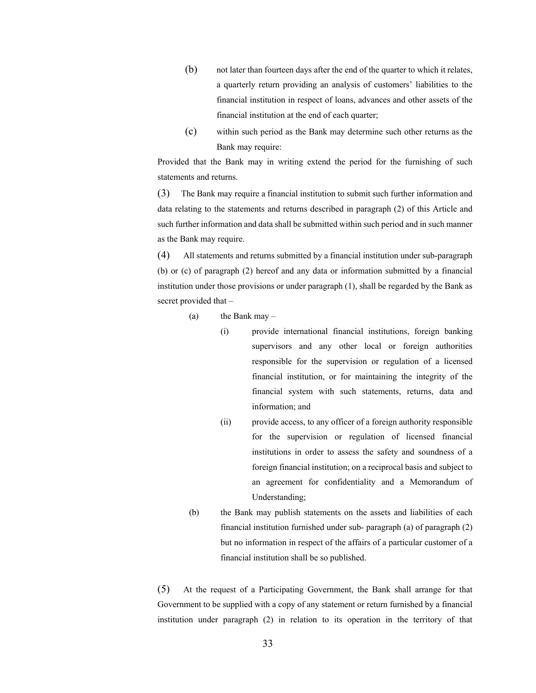- (b) not later than fourteen days after the end of the quarter to which it relates, a quarterly return providing an analysis of customers' liabilities to the financial institution in respect of loans, advances and other assets of the financial institution at the end of each quarter;
- (c) within such period as the Bank may determine such other returns as the Bank may require:

Provided that the Bank may in writing extend the period for the furnishing of such statements and returns.

(3) The Bank may require a financial institution to submit such further information and data relating to the statements and returns described in paragraph (2) of this Article and such further information and data shall be submitted within such period and in such manner as the Bank may require.

(4) All statements and returns submitted by a financial institution under sub-paragraph (b) or (c) of paragraph (2) hereof and any data or information submitted by a financial institution under those provisions or under paragraph (1), shall be regarded by the Bank as secret provided that –

(a) the Bank may  $-$ 

- (i) provide international financial institutions, foreign banking supervisors and any other local or foreign authorities responsible for the supervision or regulation of a licensed financial institution, or for maintaining the integrity of the financial system with such statements, returns, data and information; and
- (ii) provide access, to any officer of a foreign authority responsible for the supervision or regulation of licensed financial institutions in order to assess the safety and soundness of a foreign financial institution; on a reciprocal basis and subject to an agreement for confidentiality and a Memorandum of Understanding;
- (b) the Bank may publish statements on the assets and liabilities of each financial institution furnished under sub- paragraph (a) of paragraph (2) but no information in respect of the affairs of a particular customer of a financial institution shall be so published.

(5) At the request of a Participating Government, the Bank shall arrange for that Government to be supplied with a copy of any statement or return furnished by a financial institution under paragraph (2) in relation to its operation in the territory of that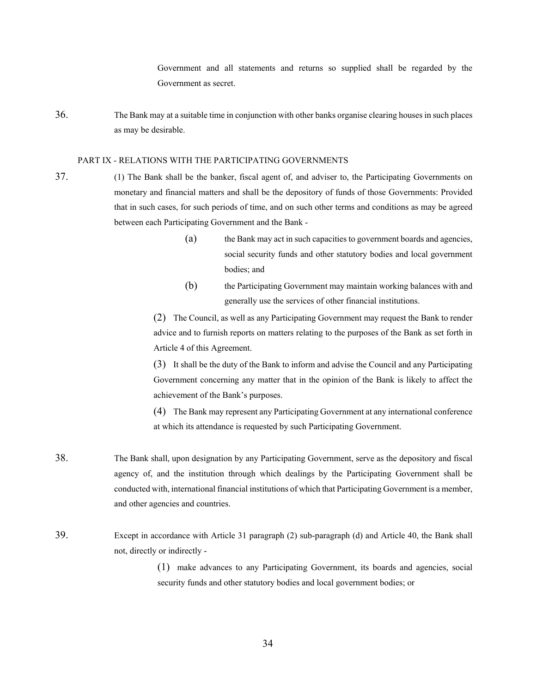Government and all statements and returns so supplied shall be regarded by the Government as secret.

36. The Bank may at a suitable time in conjunction with other banks organise clearing houses in such places as may be desirable.

#### PART IX - RELATIONS WITH THE PARTICIPATING GOVERNMENTS

- 37. (1) The Bank shall be the banker, fiscal agent of, and adviser to, the Participating Governments on monetary and financial matters and shall be the depository of funds of those Governments: Provided that in such cases, for such periods of time, and on such other terms and conditions as may be agreed between each Participating Government and the Bank -
	- (a) the Bank may act in such capacities to government boards and agencies, social security funds and other statutory bodies and local government bodies; and
	- (b) the Participating Government may maintain working balances with and generally use the services of other financial institutions.

(2) The Council, as well as any Participating Government may request the Bank to render advice and to furnish reports on matters relating to the purposes of the Bank as set forth in Article 4 of this Agreement.

(3) It shall be the duty of the Bank to inform and advise the Council and any Participating Government concerning any matter that in the opinion of the Bank is likely to affect the achievement of the Bank's purposes.

(4) The Bank may represent any Participating Government at any international conference at which its attendance is requested by such Participating Government.

- 38. The Bank shall, upon designation by any Participating Government, serve as the depository and fiscal agency of, and the institution through which dealings by the Participating Government shall be conducted with, international financial institutions of which that Participating Government is a member, and other agencies and countries.
- 39. Except in accordance with Article 31 paragraph (2) sub-paragraph (d) and Article 40, the Bank shall not, directly or indirectly -

(1) make advances to any Participating Government, its boards and agencies, social security funds and other statutory bodies and local government bodies; or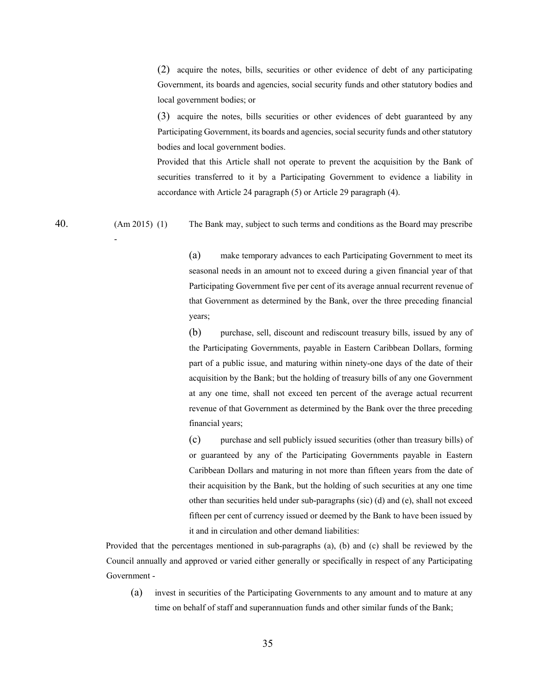(2) acquire the notes, bills, securities or other evidence of debt of any participating Government, its boards and agencies, social security funds and other statutory bodies and local government bodies; or

(3) acquire the notes, bills securities or other evidences of debt guaranteed by any Participating Government, its boards and agencies, social security funds and other statutory bodies and local government bodies.

Provided that this Article shall not operate to prevent the acquisition by the Bank of securities transferred to it by a Participating Government to evidence a liability in accordance with Article 24 paragraph (5) or Article 29 paragraph (4).

40. (Am 2015) (1) The Bank may, subject to such terms and conditions as the Board may prescribe

(a) make temporary advances to each Participating Government to meet its seasonal needs in an amount not to exceed during a given financial year of that Participating Government five per cent of its average annual recurrent revenue of that Government as determined by the Bank, over the three preceding financial years;

(b) purchase, sell, discount and rediscount treasury bills, issued by any of the Participating Governments, payable in Eastern Caribbean Dollars, forming part of a public issue, and maturing within ninety-one days of the date of their acquisition by the Bank; but the holding of treasury bills of any one Government at any one time, shall not exceed ten percent of the average actual recurrent revenue of that Government as determined by the Bank over the three preceding financial years;

(c) purchase and sell publicly issued securities (other than treasury bills) of or guaranteed by any of the Participating Governments payable in Eastern Caribbean Dollars and maturing in not more than fifteen years from the date of their acquisition by the Bank, but the holding of such securities at any one time other than securities held under sub-paragraphs (sic) (d) and (e), shall not exceed fifteen per cent of currency issued or deemed by the Bank to have been issued by it and in circulation and other demand liabilities:

Provided that the percentages mentioned in sub-paragraphs (a), (b) and (c) shall be reviewed by the Council annually and approved or varied either generally or specifically in respect of any Participating Government -

(a) invest in securities of the Participating Governments to any amount and to mature at any time on behalf of staff and superannuation funds and other similar funds of the Bank;

-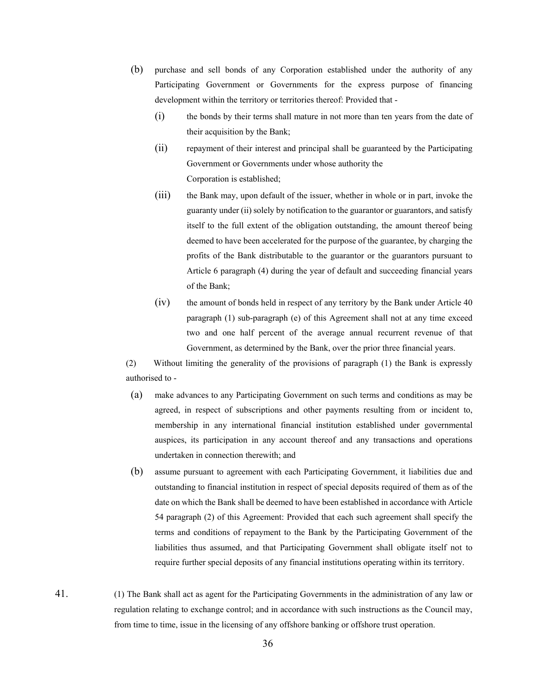- (b) purchase and sell bonds of any Corporation established under the authority of any Participating Government or Governments for the express purpose of financing development within the territory or territories thereof: Provided that -
	- (i) the bonds by their terms shall mature in not more than ten years from the date of their acquisition by the Bank;
	- (ii) repayment of their interest and principal shall be guaranteed by the Participating Government or Governments under whose authority the Corporation is established;
	- (iii) the Bank may, upon default of the issuer, whether in whole or in part, invoke the guaranty under (ii) solely by notification to the guarantor or guarantors, and satisfy itself to the full extent of the obligation outstanding, the amount thereof being deemed to have been accelerated for the purpose of the guarantee, by charging the profits of the Bank distributable to the guarantor or the guarantors pursuant to Article 6 paragraph (4) during the year of default and succeeding financial years of the Bank;
	- (iv) the amount of bonds held in respect of any territory by the Bank under Article 40 paragraph (1) sub-paragraph (e) of this Agreement shall not at any time exceed two and one half percent of the average annual recurrent revenue of that Government, as determined by the Bank, over the prior three financial years.

 (2) Without limiting the generality of the provisions of paragraph (1) the Bank is expressly authorised to -

- (a) make advances to any Participating Government on such terms and conditions as may be agreed, in respect of subscriptions and other payments resulting from or incident to, membership in any international financial institution established under governmental auspices, its participation in any account thereof and any transactions and operations undertaken in connection therewith; and
- (b) assume pursuant to agreement with each Participating Government, it liabilities due and outstanding to financial institution in respect of special deposits required of them as of the date on which the Bank shall be deemed to have been established in accordance with Article 54 paragraph (2) of this Agreement: Provided that each such agreement shall specify the terms and conditions of repayment to the Bank by the Participating Government of the liabilities thus assumed, and that Participating Government shall obligate itself not to require further special deposits of any financial institutions operating within its territory.
- 41. (1) The Bank shall act as agent for the Participating Governments in the administration of any law or regulation relating to exchange control; and in accordance with such instructions as the Council may, from time to time, issue in the licensing of any offshore banking or offshore trust operation.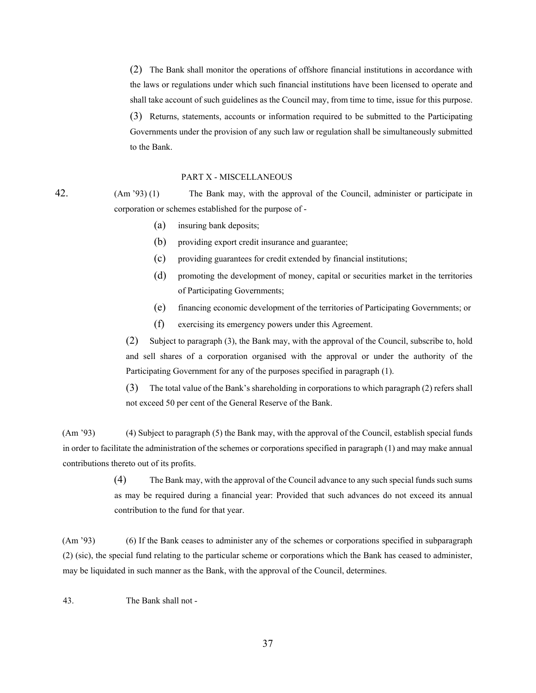(2) The Bank shall monitor the operations of offshore financial institutions in accordance with the laws or regulations under which such financial institutions have been licensed to operate and shall take account of such guidelines as the Council may, from time to time, issue for this purpose.

(3) Returns, statements, accounts or information required to be submitted to the Participating Governments under the provision of any such law or regulation shall be simultaneously submitted to the Bank.

#### PART X - MISCELLANEOUS

42. (Am '93) (1) The Bank may, with the approval of the Council, administer or participate in corporation or schemes established for the purpose of -

- (a) insuring bank deposits;
- (b) providing export credit insurance and guarantee;
- (c) providing guarantees for credit extended by financial institutions;
- (d) promoting the development of money, capital or securities market in the territories of Participating Governments;
- (e) financing economic development of the territories of Participating Governments; or
- (f) exercising its emergency powers under this Agreement.

(2) Subject to paragraph (3), the Bank may, with the approval of the Council, subscribe to, hold and sell shares of a corporation organised with the approval or under the authority of the Participating Government for any of the purposes specified in paragraph (1).

(3) The total value of the Bank's shareholding in corporations to which paragraph (2) refers shall not exceed 50 per cent of the General Reserve of the Bank.

(Am '93) (4) Subject to paragraph (5) the Bank may, with the approval of the Council, establish special funds in order to facilitate the administration of the schemes or corporations specified in paragraph (1) and may make annual contributions thereto out of its profits.

> (4) The Bank may, with the approval of the Council advance to any such special funds such sums as may be required during a financial year: Provided that such advances do not exceed its annual contribution to the fund for that year.

(Am '93) (6) If the Bank ceases to administer any of the schemes or corporations specified in subparagraph (2) (sic), the special fund relating to the particular scheme or corporations which the Bank has ceased to administer, may be liquidated in such manner as the Bank, with the approval of the Council, determines.

43. The Bank shall not -

37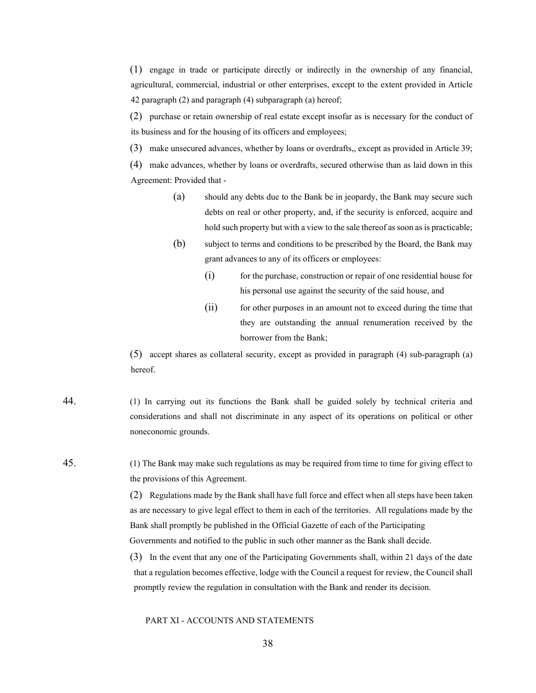(1) engage in trade or participate directly or indirectly in the ownership of any financial, agricultural, commercial, industrial or other enterprises, except to the extent provided in Article 42 paragraph (2) and paragraph (4) subparagraph (a) hereof;

(2) purchase or retain ownership of real estate except insofar as is necessary for the conduct of its business and for the housing of its officers and employees;

(3) make unsecured advances, whether by loans or overdrafts,, except as provided in Article 39;

(4) make advances, whether by loans or overdrafts, secured otherwise than as laid down in this Agreement: Provided that -

- (a) should any debts due to the Bank be in jeopardy, the Bank may secure such debts on real or other property, and, if the security is enforced, acquire and hold such property but with a view to the sale thereof as soon as is practicable;
- (b) subject to terms and conditions to be prescribed by the Board, the Bank may grant advances to any of its officers or employees:
	- $(i)$  for the purchase, construction or repair of one residential house for his personal use against the security of the said house, and
	- (ii) for other purposes in an amount not to exceed during the time that they are outstanding the annual renumeration received by the borrower from the Bank;

(5) accept shares as collateral security, except as provided in paragraph (4) sub-paragraph (a) hereof.

- 44. (1) In carrying out its functions the Bank shall be guided solely by technical criteria and considerations and shall not discriminate in any aspect of its operations on political or other noneconomic grounds.
- 45. (1) The Bank may make such regulations as may be required from time to time for giving effect to the provisions of this Agreement.

(2) Regulations made by the Bank shall have full force and effect when all steps have been taken as are necessary to give legal effect to them in each of the territories. All regulations made by the Bank shall promptly be published in the Official Gazette of each of the Participating Governments and notified to the public in such other manner as the Bank shall decide.

(3) In the event that any one of the Participating Governments shall, within 21 days of the date that a regulation becomes effective, lodge with the Council a request for review, the Council shall promptly review the regulation in consultation with the Bank and render its decision.

#### PART XI - ACCOUNTS AND STATEMENTS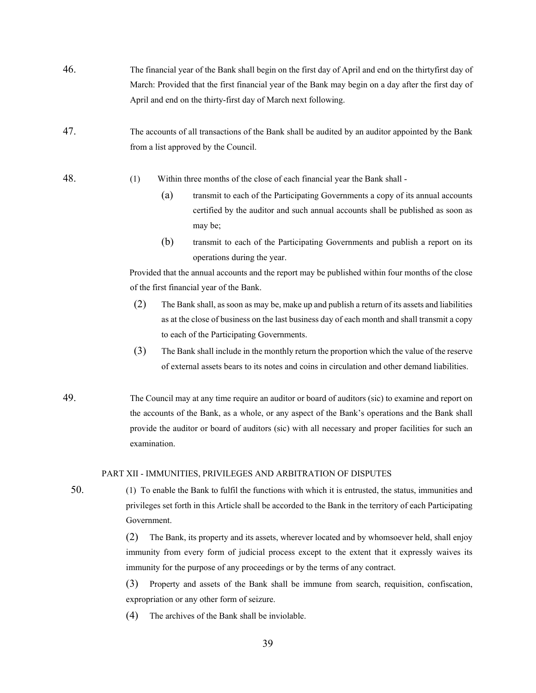- 46. The financial year of the Bank shall begin on the first day of April and end on the thirtyfirst day of March: Provided that the first financial year of the Bank may begin on a day after the first day of April and end on the thirty-first day of March next following.
- 47. The accounts of all transactions of the Bank shall be audited by an auditor appointed by the Bank from a list approved by the Council.
- 48. (1) Within three months of the close of each financial year the Bank shall
	- (a) transmit to each of the Participating Governments a copy of its annual accounts certified by the auditor and such annual accounts shall be published as soon as may be;
	- (b) transmit to each of the Participating Governments and publish a report on its operations during the year.

Provided that the annual accounts and the report may be published within four months of the close of the first financial year of the Bank.

- (2) The Bank shall, as soon as may be, make up and publish a return of its assets and liabilities as at the close of business on the last business day of each month and shall transmit a copy to each of the Participating Governments.
- (3) The Bank shall include in the monthly return the proportion which the value of the reserve of external assets bears to its notes and coins in circulation and other demand liabilities.
- 49. The Council may at any time require an auditor or board of auditors (sic) to examine and report on the accounts of the Bank, as a whole, or any aspect of the Bank's operations and the Bank shall provide the auditor or board of auditors (sic) with all necessary and proper facilities for such an examination.

#### PART XII - IMMUNITIES, PRIVILEGES AND ARBITRATION OF DISPUTES

50. (1) To enable the Bank to fulfil the functions with which it is entrusted, the status, immunities and privileges set forth in this Article shall be accorded to the Bank in the territory of each Participating Government.

> (2) The Bank, its property and its assets, wherever located and by whomsoever held, shall enjoy immunity from every form of judicial process except to the extent that it expressly waives its immunity for the purpose of any proceedings or by the terms of any contract.

> (3) Property and assets of the Bank shall be immune from search, requisition, confiscation, expropriation or any other form of seizure.

(4) The archives of the Bank shall be inviolable.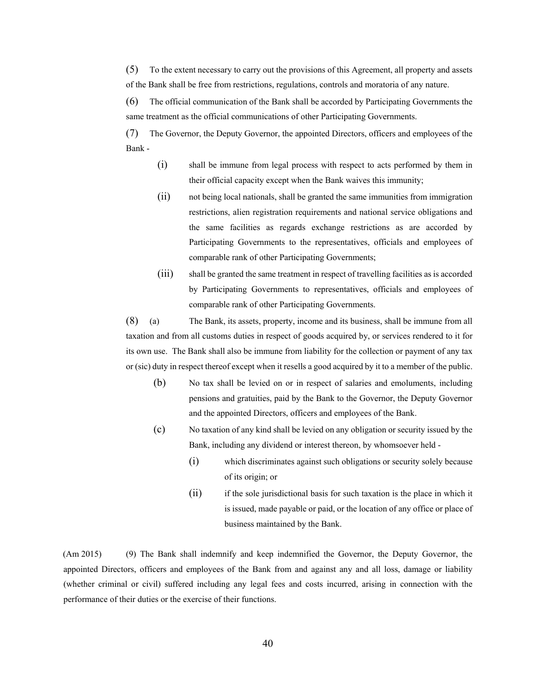(5) To the extent necessary to carry out the provisions of this Agreement, all property and assets of the Bank shall be free from restrictions, regulations, controls and moratoria of any nature.

(6) The official communication of the Bank shall be accorded by Participating Governments the same treatment as the official communications of other Participating Governments.

(7) The Governor, the Deputy Governor, the appointed Directors, officers and employees of the Bank -

- (i) shall be immune from legal process with respect to acts performed by them in their official capacity except when the Bank waives this immunity;
- (ii) not being local nationals, shall be granted the same immunities from immigration restrictions, alien registration requirements and national service obligations and the same facilities as regards exchange restrictions as are accorded by Participating Governments to the representatives, officials and employees of comparable rank of other Participating Governments;
- (iii) shall be granted the same treatment in respect of travelling facilities as is accorded by Participating Governments to representatives, officials and employees of comparable rank of other Participating Governments.

(8) (a) The Bank, its assets, property, income and its business, shall be immune from all taxation and from all customs duties in respect of goods acquired by, or services rendered to it for its own use. The Bank shall also be immune from liability for the collection or payment of any tax or (sic) duty in respect thereof except when it resells a good acquired by it to a member of the public.

- (b) No tax shall be levied on or in respect of salaries and emoluments, including pensions and gratuities, paid by the Bank to the Governor, the Deputy Governor and the appointed Directors, officers and employees of the Bank.
- (c) No taxation of any kind shall be levied on any obligation or security issued by the Bank, including any dividend or interest thereon, by whomsoever held -
	- (i) which discriminates against such obligations or security solely because of its origin; or
	- (ii) if the sole jurisdictional basis for such taxation is the place in which it is issued, made payable or paid, or the location of any office or place of business maintained by the Bank.

(Am 2015) (9) The Bank shall indemnify and keep indemnified the Governor, the Deputy Governor, the appointed Directors, officers and employees of the Bank from and against any and all loss, damage or liability (whether criminal or civil) suffered including any legal fees and costs incurred, arising in connection with the performance of their duties or the exercise of their functions.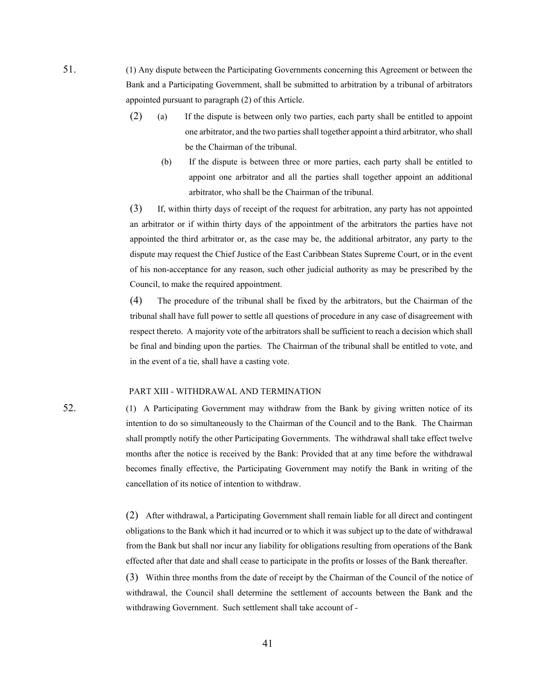- 51. (1) Any dispute between the Participating Governments concerning this Agreement or between the Bank and a Participating Government, shall be submitted to arbitration by a tribunal of arbitrators appointed pursuant to paragraph (2) of this Article.
	- (2) (a) If the dispute is between only two parties, each party shall be entitled to appoint one arbitrator, and the two parties shall together appoint a third arbitrator, who shall be the Chairman of the tribunal.
		- (b) If the dispute is between three or more parties, each party shall be entitled to appoint one arbitrator and all the parties shall together appoint an additional arbitrator, who shall be the Chairman of the tribunal.

(3) If, within thirty days of receipt of the request for arbitration, any party has not appointed an arbitrator or if within thirty days of the appointment of the arbitrators the parties have not appointed the third arbitrator or, as the case may be, the additional arbitrator, any party to the dispute may request the Chief Justice of the East Caribbean States Supreme Court, or in the event of his non-acceptance for any reason, such other judicial authority as may be prescribed by the Council, to make the required appointment.

(4) The procedure of the tribunal shall be fixed by the arbitrators, but the Chairman of the tribunal shall have full power to settle all questions of procedure in any case of disagreement with respect thereto. A majority vote of the arbitrators shall be sufficient to reach a decision which shall be final and binding upon the parties. The Chairman of the tribunal shall be entitled to vote, and in the event of a tie, shall have a casting vote.

#### PART XIII - WITHDRAWAL AND TERMINATION

52. (1) A Participating Government may withdraw from the Bank by giving written notice of its intention to do so simultaneously to the Chairman of the Council and to the Bank. The Chairman shall promptly notify the other Participating Governments. The withdrawal shall take effect twelve months after the notice is received by the Bank: Provided that at any time before the withdrawal becomes finally effective, the Participating Government may notify the Bank in writing of the cancellation of its notice of intention to withdraw.

> (2) After withdrawal, a Participating Government shall remain liable for all direct and contingent obligations to the Bank which it had incurred or to which it was subject up to the date of withdrawal from the Bank but shall nor incur any liability for obligations resulting from operations of the Bank effected after that date and shall cease to participate in the profits or losses of the Bank thereafter.

> (3) Within three months from the date of receipt by the Chairman of the Council of the notice of withdrawal, the Council shall determine the settlement of accounts between the Bank and the withdrawing Government. Such settlement shall take account of -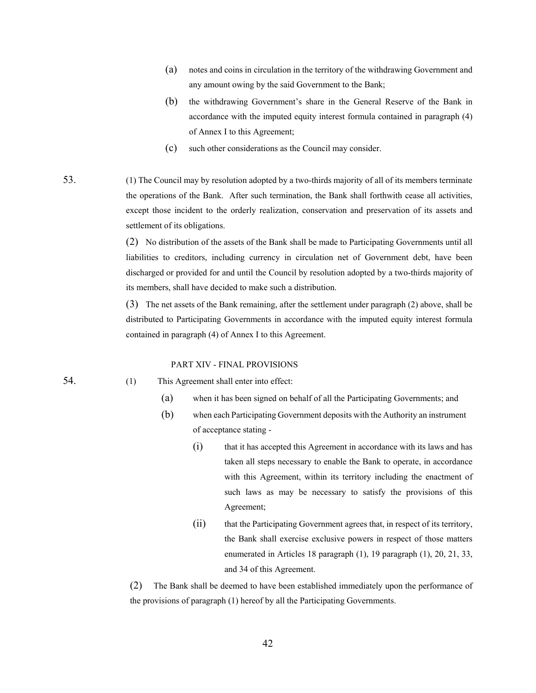- (a) notes and coins in circulation in the territory of the withdrawing Government and any amount owing by the said Government to the Bank;
- (b) the withdrawing Government's share in the General Reserve of the Bank in accordance with the imputed equity interest formula contained in paragraph (4) of Annex I to this Agreement;
- (c) such other considerations as the Council may consider.

53. (1) The Council may by resolution adopted by a two-thirds majority of all of its members terminate the operations of the Bank. After such termination, the Bank shall forthwith cease all activities, except those incident to the orderly realization, conservation and preservation of its assets and settlement of its obligations.

> (2) No distribution of the assets of the Bank shall be made to Participating Governments until all liabilities to creditors, including currency in circulation net of Government debt, have been discharged or provided for and until the Council by resolution adopted by a two-thirds majority of its members, shall have decided to make such a distribution.

> (3) The net assets of the Bank remaining, after the settlement under paragraph (2) above, shall be distributed to Participating Governments in accordance with the imputed equity interest formula contained in paragraph (4) of Annex I to this Agreement.

#### PART XIV - FINAL PROVISIONS

54. (1) This Agreement shall enter into effect:

- (a) when it has been signed on behalf of all the Participating Governments; and
- (b) when each Participating Government deposits with the Authority an instrument of acceptance stating -
	- (i) that it has accepted this Agreement in accordance with its laws and has taken all steps necessary to enable the Bank to operate, in accordance with this Agreement, within its territory including the enactment of such laws as may be necessary to satisfy the provisions of this Agreement;
	- (ii) that the Participating Government agrees that, in respect of its territory, the Bank shall exercise exclusive powers in respect of those matters enumerated in Articles 18 paragraph (1), 19 paragraph (1), 20, 21, 33, and 34 of this Agreement.

(2) The Bank shall be deemed to have been established immediately upon the performance of the provisions of paragraph (1) hereof by all the Participating Governments.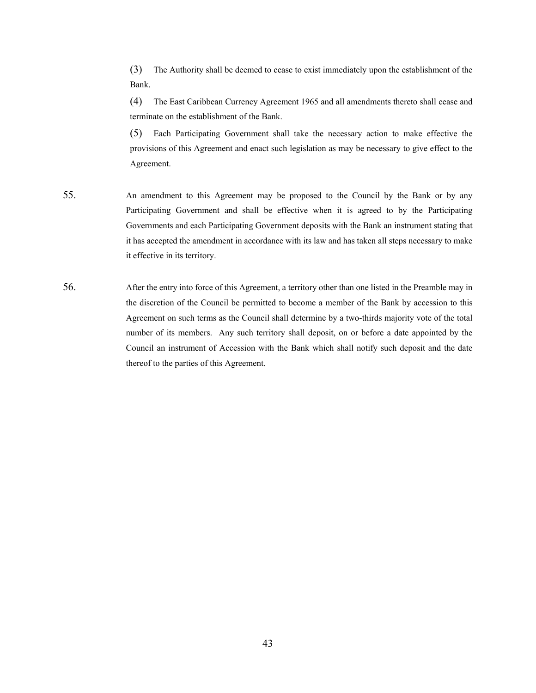(3) The Authority shall be deemed to cease to exist immediately upon the establishment of the Bank.

(4) The East Caribbean Currency Agreement 1965 and all amendments thereto shall cease and terminate on the establishment of the Bank.

(5) Each Participating Government shall take the necessary action to make effective the provisions of this Agreement and enact such legislation as may be necessary to give effect to the Agreement.

- 55. An amendment to this Agreement may be proposed to the Council by the Bank or by any Participating Government and shall be effective when it is agreed to by the Participating Governments and each Participating Government deposits with the Bank an instrument stating that it has accepted the amendment in accordance with its law and has taken all steps necessary to make it effective in its territory.
- 56. After the entry into force of this Agreement, a territory other than one listed in the Preamble may in the discretion of the Council be permitted to become a member of the Bank by accession to this Agreement on such terms as the Council shall determine by a two-thirds majority vote of the total number of its members. Any such territory shall deposit, on or before a date appointed by the Council an instrument of Accession with the Bank which shall notify such deposit and the date thereof to the parties of this Agreement.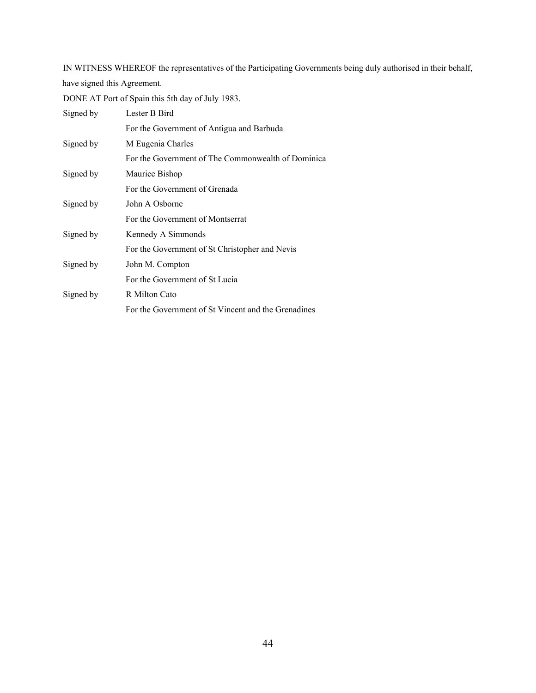IN WITNESS WHEREOF the representatives of the Participating Governments being duly authorised in their behalf, have signed this Agreement.

DONE AT Port of Spain this 5th day of July 1983.

| Signed by | Lester B Bird                                       |
|-----------|-----------------------------------------------------|
|           | For the Government of Antigua and Barbuda           |
| Signed by | M Eugenia Charles                                   |
|           | For the Government of The Commonwealth of Dominica  |
| Signed by | Maurice Bishop                                      |
|           | For the Government of Grenada                       |
| Signed by | John A Osborne                                      |
|           | For the Government of Montserrat                    |
| Signed by | Kennedy A Simmonds                                  |
|           | For the Government of St Christopher and Nevis      |
| Signed by | John M. Compton                                     |
|           | For the Government of St Lucia                      |
| Signed by | R Milton Cato                                       |
|           | For the Government of St Vincent and the Grenadines |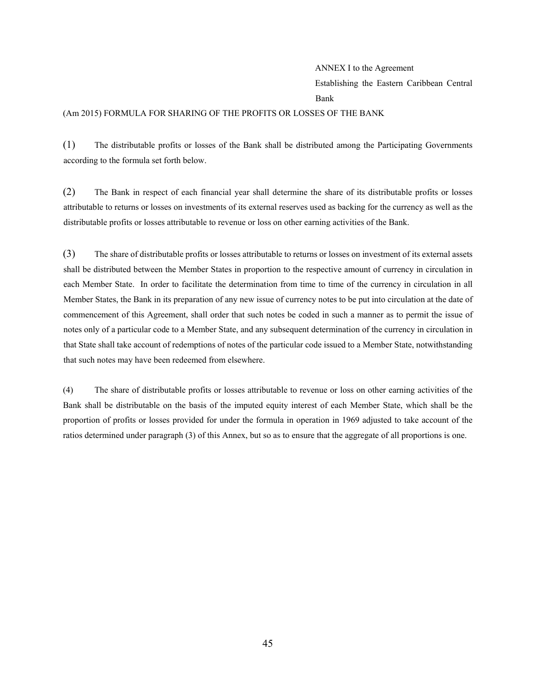#### ANNEX I to the Agreement

Establishing the Eastern Caribbean Central Bank

#### (Am 2015) FORMULA FOR SHARING OF THE PROFITS OR LOSSES OF THE BANK

(1) The distributable profits or losses of the Bank shall be distributed among the Participating Governments according to the formula set forth below.

(2) The Bank in respect of each financial year shall determine the share of its distributable profits or losses attributable to returns or losses on investments of its external reserves used as backing for the currency as well as the distributable profits or losses attributable to revenue or loss on other earning activities of the Bank.

(3) The share of distributable profits or losses attributable to returns or losses on investment of its external assets shall be distributed between the Member States in proportion to the respective amount of currency in circulation in each Member State. In order to facilitate the determination from time to time of the currency in circulation in all Member States, the Bank in its preparation of any new issue of currency notes to be put into circulation at the date of commencement of this Agreement, shall order that such notes be coded in such a manner as to permit the issue of notes only of a particular code to a Member State, and any subsequent determination of the currency in circulation in that State shall take account of redemptions of notes of the particular code issued to a Member State, notwithstanding that such notes may have been redeemed from elsewhere.

(4) The share of distributable profits or losses attributable to revenue or loss on other earning activities of the Bank shall be distributable on the basis of the imputed equity interest of each Member State, which shall be the proportion of profits or losses provided for under the formula in operation in 1969 adjusted to take account of the ratios determined under paragraph (3) of this Annex, but so as to ensure that the aggregate of all proportions is one.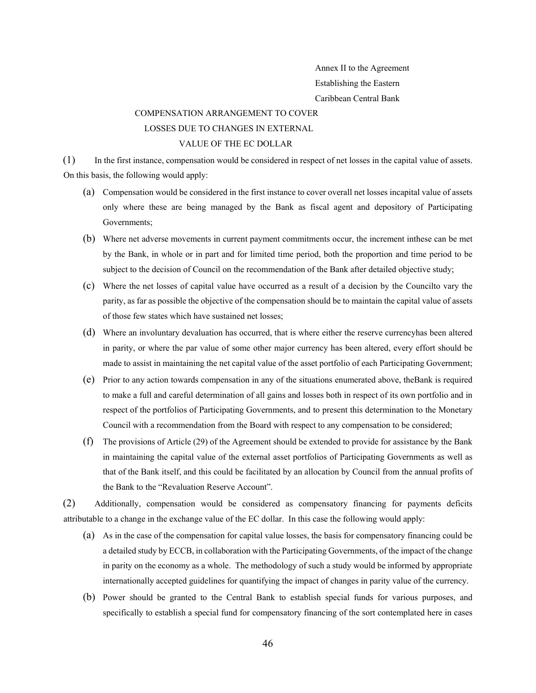Annex II to the Agreement Establishing the Eastern Caribbean Central Bank

#### COMPENSATION ARRANGEMENT TO COVER LOSSES DUE TO CHANGES IN EXTERNAL

## VALUE OF THE EC DOLLAR

(1) In the first instance, compensation would be considered in respect of net losses in the capital value of assets. On this basis, the following would apply:

- (a) Compensation would be considered in the first instance to cover overall net losses incapital value of assets only where these are being managed by the Bank as fiscal agent and depository of Participating Governments;
- (b) Where net adverse movements in current payment commitments occur, the increment inthese can be met by the Bank, in whole or in part and for limited time period, both the proportion and time period to be subject to the decision of Council on the recommendation of the Bank after detailed objective study;
- (c) Where the net losses of capital value have occurred as a result of a decision by the Councilto vary the parity, as far as possible the objective of the compensation should be to maintain the capital value of assets of those few states which have sustained net losses;
- (d) Where an involuntary devaluation has occurred, that is where either the reserve currencyhas been altered in parity, or where the par value of some other major currency has been altered, every effort should be made to assist in maintaining the net capital value of the asset portfolio of each Participating Government;
- (e) Prior to any action towards compensation in any of the situations enumerated above, theBank is required to make a full and careful determination of all gains and losses both in respect of its own portfolio and in respect of the portfolios of Participating Governments, and to present this determination to the Monetary Council with a recommendation from the Board with respect to any compensation to be considered;
- (f) The provisions of Article (29) of the Agreement should be extended to provide for assistance by the Bank in maintaining the capital value of the external asset portfolios of Participating Governments as well as that of the Bank itself, and this could be facilitated by an allocation by Council from the annual profits of the Bank to the "Revaluation Reserve Account".

(2) Additionally, compensation would be considered as compensatory financing for payments deficits attributable to a change in the exchange value of the EC dollar. In this case the following would apply:

- (a) As in the case of the compensation for capital value losses, the basis for compensatory financing could be a detailed study by ECCB, in collaboration with the Participating Governments, of the impact of the change in parity on the economy as a whole. The methodology of such a study would be informed by appropriate internationally accepted guidelines for quantifying the impact of changes in parity value of the currency.
- (b) Power should be granted to the Central Bank to establish special funds for various purposes, and specifically to establish a special fund for compensatory financing of the sort contemplated here in cases